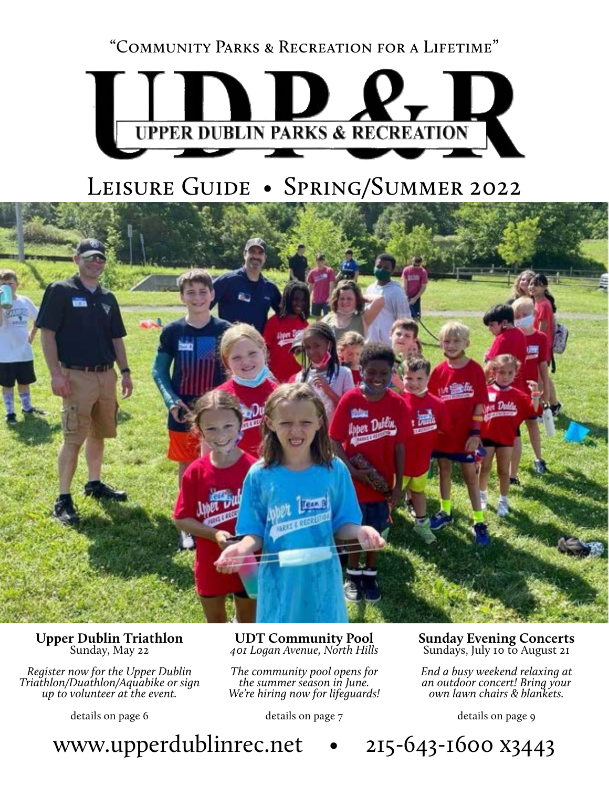"Community Parks & Recreation for a Lifetime"



# LEISURE GUIDE • SPRING/SUMMER 2022



## **Upper Dublin Triathlon** Sunday, May 22

*Register now for the Upper Dublin Triathlon/Duathlon/Aquabike or sign up to volunteer at the event.*

details on page 6

**UDT Community Pool** *401 Logan Avenue, North Hills*

*The community pool opens for the summer season in June. We're hiring now for lifeguards!*

details on page 7

**Sunday Evening Concerts** Sundays, July 10 to August 21

*End a busy weekend relaxing at an outdoor concert! Bring your own lawn chairs & blankets.*

details on page 9

www.upperdublinrec.net • 215-643-1600 x3443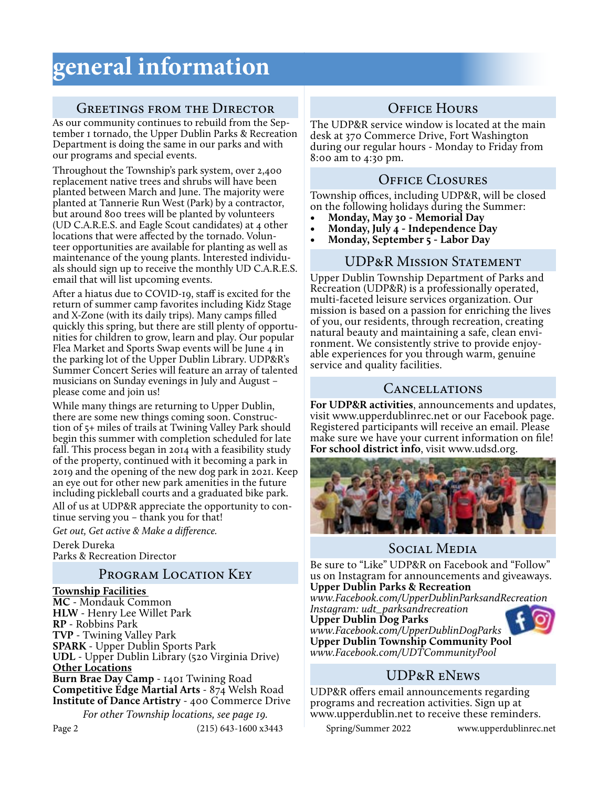## **general information**

### Greetings from the Director

As our community continues to rebuild from the September 1 tornado, the Upper Dublin Parks & Recreation Department is doing the same in our parks and with our programs and special events.

Throughout the Township's park system, over 2,400 replacement native trees and shrubs will have been planted between March and June. The majority were planted at Tannerie Run West (Park) by a contractor, but around 800 trees will be planted by volunteers (UD C.A.R.E.S. and Eagle Scout candidates) at 4 other locations that were affected by the tornado. Volunteer opportunities are available for planting as well as maintenance of the young plants. Interested individuals should sign up to receive the monthly UD C.A.R.E.S. email that will list upcoming events.

After a hiatus due to COVID-19, staff is excited for the return of summer camp favorites including Kidz Stage and X-Zone (with its daily trips). Many camps filled quickly this spring, but there are still plenty of opportunities for children to grow, learn and play. Our popular Flea Market and Sports Swap events will be June 4 in the parking lot of the Upper Dublin Library. UDP&R's Summer Concert Series will feature an array of talented musicians on Sunday evenings in July and August – please come and join us!

While many things are returning to Upper Dublin, there are some new things coming soon. Construction of 5+ miles of trails at Twining Valley Park should begin this summer with completion scheduled for late fall. This process began in 2014 with a feasibility study of the property, continued with it becoming a park in 2019 and the opening of the new dog park in 2021. Keep an eye out for other new park amenities in the future including pickleball courts and a graduated bike park. All of us at UDP&R appreciate the opportunity to continue serving you – thank you for that!

*Get out, Get active & Make a difference.* 

Derek Dureka Parks & Recreation Director

## PROGRAM LOCATION KEY

**Township Facilities** 

**MC** - Mondauk Common **HLW** - Henry Lee Willet Park **RP** - Robbins Park **TVP** - Twining Valley Park **SPARK** - Upper Dublin Sports Park **UDL** - Upper Dublin Library (520 Virginia Drive) **Other Locations Burn Brae Day Camp** - 1401 Twining Road **Competitive Edge Martial Arts** - 874 Welsh Road **Institute of Dance Artistry** - 400 Commerce Drive *For other Township locations, see page 19.*

## OFFICE HOURS

The UDP&R service window is located at the main desk at 370 Commerce Drive, Fort Washington during our regular hours - Monday to Friday from 8:00 am to 4:30 pm.

## Office Closures

Township offices, including UDP&R, will be closed on the following holidays during the Summer:

- **• Monday, May 30 Memorial Day**
- **• Monday, July 4 Independence Day**
- **• Monday, September 5 Labor Day**

### UDP&R Mission Statement

Upper Dublin Township Department of Parks and Recreation (UDP&R) is a professionally operated, multi-faceted leisure services organization. Our mission is based on a passion for enriching the lives of you, our residents, through recreation, creating ronment. We consistently strive to provide enjoy-<br>able experiences for you through warm, genuine service and quality facilities.

## Cancellations

**For UDP&R activities**, announcements and updates, visit www.upperdublinrec.net or our Facebook page. Registered participants will receive an email. Please make sure we have your current information on file! **For school district info**, visit www.udsd.org.



## Social Media

Be sure to "Like" UDP&R on Facebook and "Follow" us on Instagram for announcements and giveaways. **Upper Dublin Parks & Recreation**

*www.Facebook.com/UpperDublinParksandRecreation*

*Instagram: udt\_parksandrecreation* **Upper Dublin Dog Parks** *www.Facebook.com/UpperDublinDogParks*



UDP&R eNews

**Upper Dublin Township Community Pool** *www.Facebook.com/UDTCommunityPool*

UDP&R offers email announcements regarding programs and recreation activities. Sign up at www.upperdublin.net to receive these reminders.

Page 2 (215) 643-1600 x3443 Spring/Summer 2022 www.upperdublinrec.net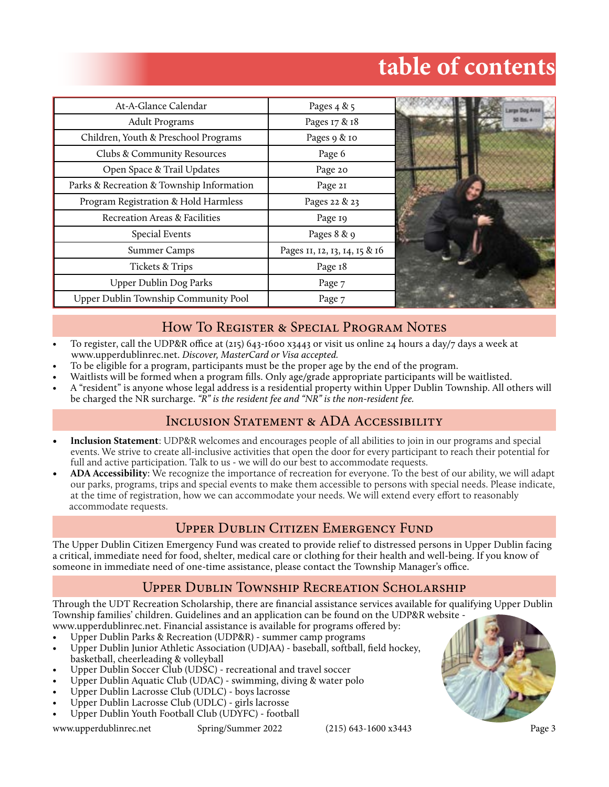# **table of contents**

| At-A-Glance Calendar                      | Pages $4 & 5$                 |  |
|-------------------------------------------|-------------------------------|--|
| <b>Adult Programs</b>                     | Pages 17 & 18                 |  |
| Children, Youth & Preschool Programs      | Pages 9 & 10                  |  |
| Clubs & Community Resources               | Page 6                        |  |
| Open Space & Trail Updates                | Page 20                       |  |
| Parks & Recreation & Township Information | Page 21                       |  |
| Program Registration & Hold Harmless      | Pages 22 & 23                 |  |
| Recreation Areas & Facilities             | Page 19                       |  |
| Special Events                            | Pages 8 & 9                   |  |
| <b>Summer Camps</b>                       | Pages 11, 12, 13, 14, 15 & 16 |  |
| <b>Tickets &amp; Trips</b>                | Page 18                       |  |
| Upper Dublin Dog Parks                    | Page 7                        |  |
| Upper Dublin Township Community Pool      | Page 7                        |  |

## How To Register & Special Program Notes

- To register, call the UDP&R office at (215) 643-1600 x3443 or visit us online 24 hours a day/7 days a week at www.upperdublinrec.net. *Discover, MasterCard or Visa accepted.*
- To be eligible for a program, participants must be the proper age by the end of the program.
- Waitlists will be formed when a program fills. Only age/grade appropriate participants will be waitlisted.
- A "resident" is anyone whose legal address is a residential property within Upper Dublin Township. All others will be charged the NR surcharge. *"R" is the resident fee and "NR" is the non-resident fee.*

### INCLUSION STATEMENT & ADA ACCESSIBILITY

- **• Inclusion Statement**: UDP&R welcomes and encourages people of all abilities to join in our programs and special events. We strive to create all-inclusive activities that open the door for every participant to reach their potential for full and active participation. Talk to us - we will do our best to accommodate requests.
- **• ADA Accessibility**: We recognize the importance of recreation for everyone. To the best of our ability, we will adapt our parks, programs, trips and special events to make them accessible to persons with special needs. Please indicate, at the time of registration, how we can accommodate your needs. We will extend every effort to reasonably accommodate requests.

## Upper Dublin Citizen Emergency Fund

The Upper Dublin Citizen Emergency Fund was created to provide relief to distressed persons in Upper Dublin facing a critical, immediate need for food, shelter, medical care or clothing for their health and well-being. If you know of someone in immediate need of one-time assistance, please contact the Township Manager's office.

## Upper Dublin Township Recreation Scholarship

Through the UDT Recreation Scholarship, there are financial assistance services available for qualifying Upper Dublin Township families' children. Guidelines and an application can be found on the UDP&R website -

- www.upperdublinrec.net. Financial assistance is available for programs offered by: • Upper Dublin Parks & Recreation (UDP&R) - summer camp programs
- Upper Dublin Junior Athletic Association (UDJAA) baseball, softball, field hockey, basketball, cheerleading & volleyball
- Upper Dublin Soccer Club (UDSC) recreational and travel soccer
- Upper Dublin Aquatic Club (UDAC) swimming, diving & water polo
- Upper Dublin Lacrosse Club (UDLC) boys lacrosse
- Upper Dublin Lacrosse Club (UDLC) girls lacrosse
- Upper Dublin Youth Football Club (UDYFC) football

www.upperdublinrec.net Spring/Summer 2022 (215) 643-1600 x3443 Page 3

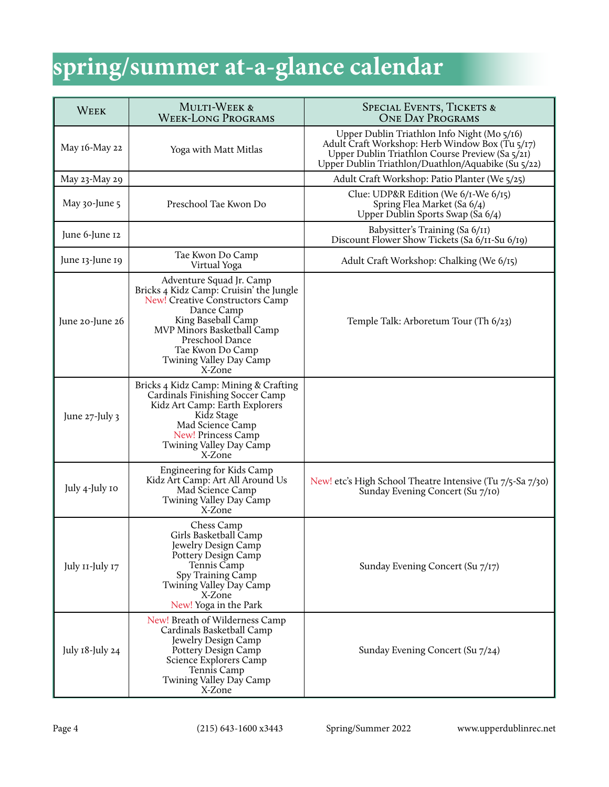# **spring/summer at-a-glance calendar**

| <b>WEEK</b>       | <b>MULTI-WEEK &amp;</b><br><b>WEEK-LONG PROGRAMS</b>                                                                                                                                                                                                 | <b>SPECIAL EVENTS, TICKETS &amp;</b><br><b>ONE DAY PROGRAMS</b>                                                                                                                                         |  |
|-------------------|------------------------------------------------------------------------------------------------------------------------------------------------------------------------------------------------------------------------------------------------------|---------------------------------------------------------------------------------------------------------------------------------------------------------------------------------------------------------|--|
| May 16-May 22     | Yoga with Matt Mitlas                                                                                                                                                                                                                                | Upper Dublin Triathlon Info Night (Mo 5/16)<br>Adult Craft Workshop: Herb Window Box (Tu 5/17)<br>Upper Dublin Triathlon Course Preview (Sa 5/21)<br>Upper Dublin Triathlon/Duathlon/Aquabike (Su 5/22) |  |
| May 23-May 29     |                                                                                                                                                                                                                                                      | Adult Craft Workshop: Patio Planter (We 5/25)                                                                                                                                                           |  |
| May 30-June 5     | Preschool Tae Kwon Do                                                                                                                                                                                                                                | Clue: UDP&R Edition (We 6/1-We 6/15)<br>Spring Flea Market (Sa 6/4)<br>Upper Dublin Sports Swap (Sa 6/4)                                                                                                |  |
| June 6-June 12    |                                                                                                                                                                                                                                                      | Babysitter's Training (Sa 6/11)<br>Discount Flower Show Tickets (Sa 6/11-Su 6/19)                                                                                                                       |  |
| June 13-June 19   | Tae Kwon Do Camp<br>Virtual Yoga                                                                                                                                                                                                                     | Adult Craft Workshop: Chalking (We 6/15)                                                                                                                                                                |  |
| June 20-June 26   | Adventure Squad Jr. Camp<br>Bricks 4 Kidz Camp: Cruisin' the Jungle<br>New! Creative Constructors Camp<br>Dance Camp<br>King Baseball Camp<br>MVP Minors Basketball Camp<br>Preschool Dance<br>Tae Kwon Do Camp<br>Twining Valley Day Camp<br>X-Zone | Temple Talk: Arboretum Tour (Th 6/23)                                                                                                                                                                   |  |
| June $27$ -July 3 | Bricks 4 Kidz Camp: Mining & Crafting<br>Cardinals Finishing Soccer Camp<br>Kidz Art Camp: Earth Explorers<br>Kidz Stage<br>Mad Science Camp<br>New! Princess Camp<br>Twining Valley Day Camp<br>X-Zone                                              |                                                                                                                                                                                                         |  |
| July 4-July 10    | Engineering for Kids Camp<br>Kidz Art Camp: Art All Around Us<br>Mad Science Camp<br>Twining Valley Day Camp<br>X-Zone                                                                                                                               | New! etc's High School Theatre Intensive (Tu 7/5-Sa 7/30)<br>Sunday Evening Concert (Su 7/10)                                                                                                           |  |
| July 11-July 17   | Chess Camp<br>Girls Basketball Camp<br>Jewelry Design Camp<br>Pottery Design Camp<br>Tennis Camp<br>Spy Training Camp<br>Twining Valley Day Camp<br>X-Zone<br>New! Yoga in the Park                                                                  | Sunday Evening Concert (Su 7/17)                                                                                                                                                                        |  |
| July 18-July 24   | New! Breath of Wilderness Camp<br>Cardinals Basketball Camp<br>Jewelry Design Camp<br>Pottery Design Camp<br>Science Explorers Camp<br>Tennis Camp<br>Twining Valley Day Camp<br>X-Zone                                                              | Sunday Evening Concert (Su 7/24)                                                                                                                                                                        |  |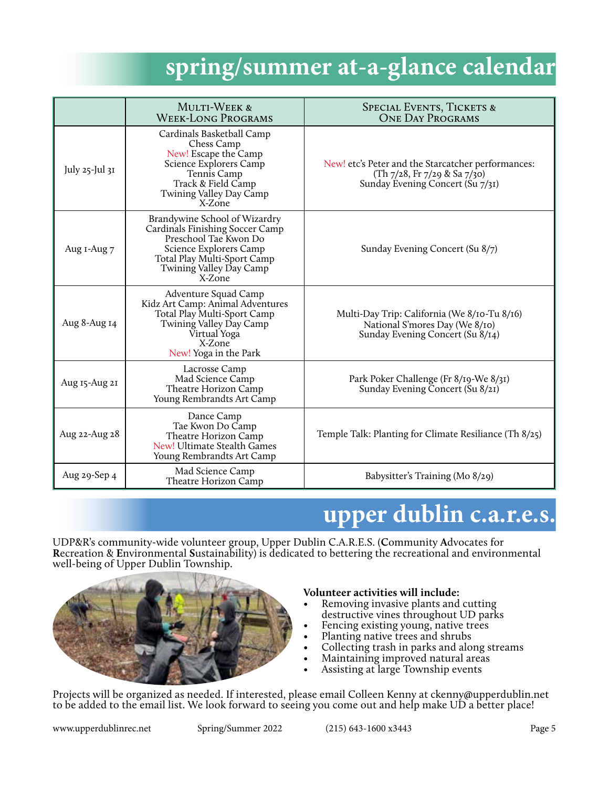## **spring/summer at-a-glance calendar**

|                     | <b>MULTI-WEEK &amp;</b><br><b>WEEK-LONG PROGRAMS</b>                                                                                                                                    | <b>SPECIAL EVENTS, TICKETS &amp;</b><br><b>ONE DAY PROGRAMS</b>                                                        |
|---------------------|-----------------------------------------------------------------------------------------------------------------------------------------------------------------------------------------|------------------------------------------------------------------------------------------------------------------------|
| July $25$ -Jul $3I$ | Cardinals Basketball Camp<br>Chess Camp<br>New! Escape the Camp<br>Science Explorers Camp<br>Tennis Camp<br>Track & Field Camp<br>Twining Valley Day Camp<br>X-Zone                     | New! etc's Peter and the Starcatcher performances:<br>(Th 7/28, Fr 7/29 & Sa 7/30)<br>Sunday Evening Concert (Su 7/31) |
| Aug I-Aug 7         | Brandywine School of Wizardry<br>Cardinals Finishing Soccer Camp<br>Preschool Tae Kwon Do<br>Science Explorers Camp<br>Total Play Multi-Sport Camp<br>Twining Valley Day Camp<br>X-Zone | Sunday Evening Concert (Su 8/7)                                                                                        |
| Aug 8-Aug 14        | Adventure Squad Camp<br>Kidz Art Camp: Animal Adventures<br>Total Play Multi-Sport Camp<br>Twining Valley Day Camp<br>Virtual Yoga<br>X-Zone<br>New! Yoga in the Park                   | Multi-Day Trip: California (We 8/10-Tu 8/16)<br>National S'mores Day (We 8/10)<br>Sunday Evening Concert (Su 8/14)     |
| Aug 15-Aug 21       | Lacrosse Camp<br>Mad Science Camp<br>Theatre Horizon Camp<br>Young Rembrandts Art Camp                                                                                                  | Park Poker Challenge (Fr 8/19-We 8/31)<br>Sunday Evening Concert (Su 8/21)                                             |
| Aug 22-Aug 28       | Dance Camp<br>Tae Kwon Do Camp<br>Theatre Horizon Camp<br>New! Ultimate Stealth Games<br>Young Rembrandts Art Camp                                                                      | Temple Talk: Planting for Climate Resiliance (Th 8/25)                                                                 |
| Aug 29-Sep 4        | Mad Science Camp<br>Theatre Horizon Camp                                                                                                                                                | Babysitter's Training (Mo 8/29)                                                                                        |

# **upper dublin c.a.r.e.s.**

UDP&R's community-wide volunteer group, Upper Dublin C.A.R.E.S. (**C**ommunity **A**dvocates for **R**ecreation & **E**nvironmental **S**ustainability) is dedicated to bettering the recreational and environmental well-being of Upper Dublin Township.



#### **Volunteer activities will include:**

- Removing invasive plants and cutting destructive vines throughout UD parks
- Fencing existing young, native trees
- 
- Planting native trees and shrubs<br>Collecting trash in parks and along streams
- Maintaining improved natural areas
- Assisting at large Township events

Projects will be organized as needed. If interested, please email Colleen Kenny at ckenny@upperdublin.net to be added to the email list. We look forward to seeing you come out and help make UD a better place!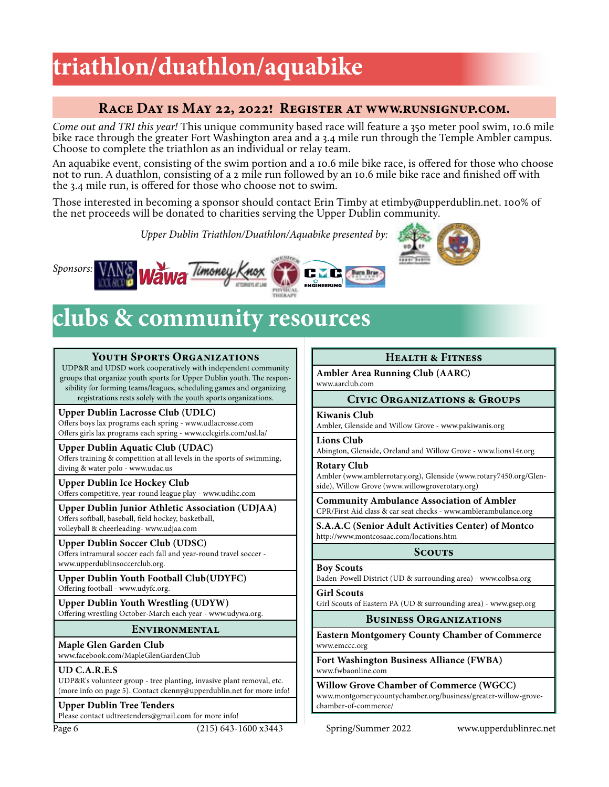# **triathlon/duathlon/aquabike**

### **Race Day is May 22, 2022! Register at www.runsignup.com.**

*Come out and TRI this year!* This unique community based race will feature a 350 meter pool swim, 10.6 mile bike race through the greater Fort Washington area and a 3.4 mile run through the Temple Ambler campus. Choose to complete the triathlon as an individual or relay team.

An aquabike event, consisting of the swim portion and a 10.6 mile bike race, is offered for those who choose not to run. A duathlon, consisting of a 2 mile run followed by an 10.6 mile bike race and finished off with the 3.4 mile run, is offered for those who choose not to swim.

Those interested in becoming a sponsor should contact Erin Timby at etimby@upperdublin.net. 100% of the net proceeds will be donated to charities serving the Upper Dublin community.

*Upper Dublin Triathlon/Duathlon/Aquabike presented by:*







## **clubs & community resources**

#### **Youth Sports Organizations**

UDP&R and UDSD work cooperatively with independent community groups that organize youth sports for Upper Dublin youth. The responsibility for forming teams/leagues, scheduling games and organizing registrations rests solely with the youth sports organizations.

#### **Upper Dublin Lacrosse Club (UDLC)**

Offers boys lax programs each spring - www.udlacrosse.com Offers girls lax programs each spring - www.cclcgirls.com/usl.la/

**Upper Dublin Aquatic Club (UDAC)** Offers training & competition at all levels in the sports of swimming, diving & water polo - www.udac.us

**Upper Dublin Ice Hockey Club** Offers competitive, year-round league play - www.udihc.com

**Upper Dublin Junior Athletic Association (UDJAA)** Offers softball, baseball, field hockey, basketball, volleyball & cheerleading- www.udjaa.com

**Upper Dublin Soccer Club (UDSC)** Offers intramural soccer each fall and year-round travel soccer www.upperdublinsoccerclub.org.

**Upper Dublin Youth Football Club(UDYFC)** Offering football - www.udyfc.org.

**Upper Dublin Youth Wrestling (UDYW)** Offering wrestling October-March each year - www.udywa.org.

#### **Environmental**

**Maple Glen Garden Club** www.facebook.com/MapleGlenGardenClub

#### **UD C.A.R.E.S**

UDP&R's volunteer group - tree planting, invasive plant removal, etc. (more info on page 5). Contact ckenny@upperdublin.net for more info!

#### **Upper Dublin Tree Tenders**

Please contact udtreetenders@gmail.com for more info!

### **Health & Fitness**

**Ambler Area Running Club (AARC)** www.aarclub.com

#### **Civic Organizations & Groups**

**Kiwanis Club**

Ambler, Glenside and Willow Grove - www.pakiwanis.org

**Lions Club**

Abington, Glenside, Oreland and Willow Grove - www.lions14r.org

**Rotary Club**

Ambler (www.amblerrotary.org), Glenside (www.rotary7450.org/Glenside), Willow Grove (www.willowgroverotary.org)

**Community Ambulance Association of Ambler** CPR/First Aid class & car seat checks - www.amblerambulance.org

**S.A.A.C (Senior Adult Activities Center) of Montco** http://www.montcosaac.com/locations.htm

#### **Scouts**

**Boy Scouts**

Baden-Powell District (UD & surrounding area) - www.colbsa.org

**Girl Scouts** Girl Scouts of Eastern PA (UD & surrounding area) - www.gsep.org

#### **Business Organizations**

**Eastern Montgomery County Chamber of Commerce** www.emccc.org

**Fort Washington Business Alliance (FWBA)** www.fwbaonline.com

**Willow Grove Chamber of Commerce (WGCC)** www.montgomerycountychamber.org/business/greater-willow-grovechamber-of-commerce/

Page 6 (215) 643-1600 x3443 Spring/Summer 2022 www.upperdublinrec.net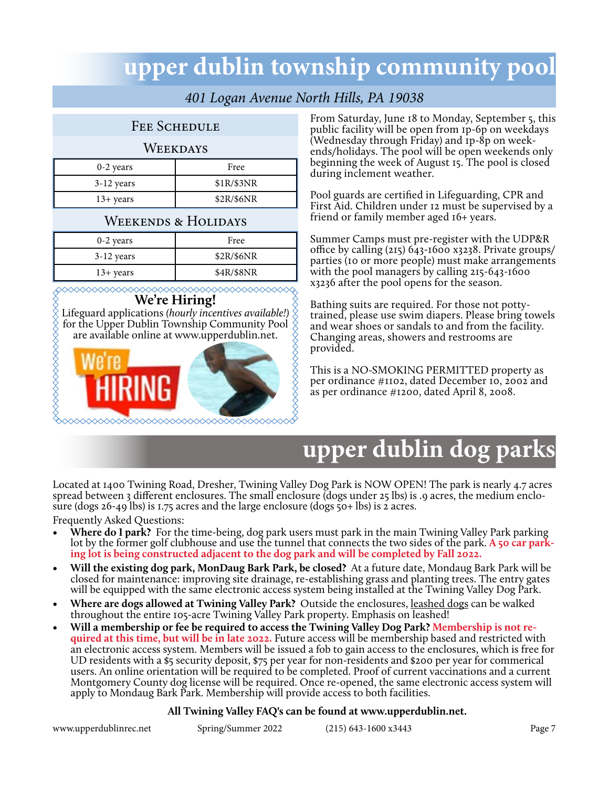## **upper dublin township community pool**

## *401 Logan Avenue North Hills, PA 19038*

#### FEE SCHEDULE

#### **WEEKDAYS**

| $0-2$ years         | Free       |
|---------------------|------------|
| $3-12$ years        | \$1R/\$3NR |
| $13 + \text{years}$ | \$2R/\$6NR |

### WEEKENDS & HOLIDAYS

| $0-2$ years         | Free       |
|---------------------|------------|
| $3-12$ years        | \$2R/\$6NR |
| $13 + \text{years}$ | \$4R/\$8NR |

**We're Hiring!** 

**NANANANANANANANANAN** Lifeguard applications *(hourly incentives available!)*  for the Upper Dublin Township Community Pool are available online at www.upperdublin.net.



From Saturday, June 18 to Monday, September 5, this public facility will be open from 1p-6p on weekdays (Wednesday through Friday) and 1p-8p on weekends/holidays. The pool will be open weekends only beginning the week of August 15. The pool is closed during inclement weather.

Pool guards are certified in Lifeguarding, CPR and First Aid. Children under 12 must be supervised by a friend or family member aged 16+ years.

Summer Camps must pre-register with the UDP&R office by calling (215) 643-1600 x3238. Private groups/ parties (10 or more people) must make arrangements with the pool managers by calling 215-643-1600 x3236 after the pool opens for the season.

Bathing suits are required. For those not pottytrained, please use swim diapers. Please bring towels and wear shoes or sandals to and from the facility. Changing areas, showers and restrooms are provided.

This is a NO-SMOKING PERMITTED property as per ordinance #1102, dated December 10, 2002 and as per ordinance #1200, dated April 8, 2008.

# **upper dublin dog parks**

Located at 1400 Twining Road, Dresher, Twining Valley Dog Park is NOW OPEN! The park is nearly 4.7 acres spread between 3 different enclosures. The small enclosure (dogs under 25 lbs) is .9 acres, the medium enclo-<br>sure (dogs 26-49 lbs) is 1.75 acres and the large enclosure (dogs 50+ lbs) is 2 acres.

Frequently Asked Questions:

- **• Where do I park?** For the time-being, dog park users must park in the main Twining Valley Park parking lot by the former golf clubhouse and use the tunnel that connects the two sides of the park. **A** 50 car park**ing lot is being constructed adjacent to the dog park and will be completed by Fall 2022.**
- **• Will the existing dog park, MonDaug Bark Park, be closed?** At a future date, Mondaug Bark Park will be closed for maintenance: improving site drainage, re-establishing grass and planting trees. The entry gates will be equipped with the same electronic access system being installed at the Twining Valley Dog Park.
- Where are dogs allowed at Twining Valley Park? Outside the enclosures, leashed dogs can be walked throughout the entire 105-acre Twining Valley Park property. Emphasis on leashed!
- Will a membership or fee be required to access the Twining Valley Dog Park? Membership is not required at this time, but will be in late 2022. Future access will be membership based and restricted with an electronic access system. Members will be issued a fob to gain access to the enclosures, which is free for UD residents with a \$5 security deposit, \$75 per year for non-residents and \$200 per year for commerical users. An online orientation will be required to be completed. Proof of current vaccinations and a current Montgomery County dog license will be required. Once re-opened, the same electronic access system will apply to Mondaug Bark Park. Membership will provide access to both facilities.

#### **All Twining Valley FAQ's can be found at www.upperdublin.net.**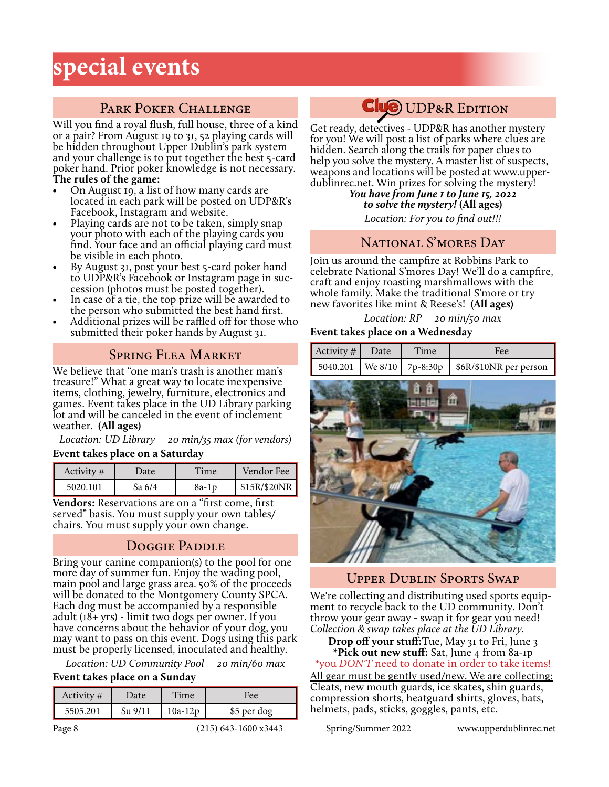## **special events**

## PARK POKER CHALLENGE

Will you find a royal flush, full house, three of a kind or a pair? From August 19 to 31, 52 playing cards will be hidden throughout Upper Dublin's park system and your challenge is to put together the best 5-card poker hand. Prior poker knowledge is not necessary. **The rules of the game:**

- On August 19, a list of how many cards are located in each park will be posted on UDP&R's Facebook, Instagram and website.
- Playing cards <u>are not to be taken</u>, simply snap your photo with each of the playing cards you find. Your face and an official playing card must be visible in each photo.
- By August 31, post your best 5-card poker hand to UDP&R's Facebook or Instagram page in succession (photos must be posted together).
- In case of a tie, the top prize will be awarded to the person who submitted the best hand first.
- Additional prizes will be raffled off for those who submitted their poker hands by August 31.

## Spring Flea Market

We believe that "one man's trash is another man's treasure!" What a great way to locate inexpensive items, clothing, jewelry, furniture, electronics and games. Event takes place in the UD Library parking lot and will be canceled in the event of inclement weather. **(All ages)**

*Location: UD Library 20 min/35 max (for vendors)* **Event takes place on a Saturday**

| Activity # | Jate   | Time  | Vendor Fee     |
|------------|--------|-------|----------------|
| 5020.101   | Sa 6/4 | 8a-1p | $$15R$ /\$20NR |

**Vendors:** Reservations are on a "first come, first served" basis. You must supply your own tables/ chairs. You must supply your own change.

## Doggie Paddle

Bring your canine companion(s) to the pool for one more day of summer fun. Enjoy the wading pool, main pool and large grass area. 50% of the proceeds will be donated to the Montgomery County SPCA. Each dog must be accompanied by a responsible adult (18+ yrs) - limit two dogs per owner. If you have concerns about the behavior of your dog, you may want to pass on this event. Dogs using this park must be properly licensed, inoculated and healthy.

*Location: UD Community Pool 20 min/60 max*

#### **Event takes place on a Sunday**

| Activity # | Date      | Time      | Fee.        |
|------------|-----------|-----------|-------------|
| 5505.201   | $Su$ 9/11 | $10a-12p$ | \$5 per dog |

## **Clue** UDP&R EDITION

Get ready, detectives - UDP&R has another mystery for you! We will post a list of parks where clues are hidden. Search along the trails for paper clues to help you solve the mystery. A master list of suspects, weapons and locations will be posted at www.upper- dublinrec.net. Win prizes for solving the mystery!

> *You have from June 1 to June 15, 2022 to solve the mystery!* **(All ages)** *Location: For you to find out!!!*

## NATIONAL S'MORES DAY

Join us around the campfire at Robbins Park to celebrate National S'mores Day! We'll do a campfire, craft and enjoy roasting marshmallows with the whole family. Make the traditional S'more or try new favorites like mint & Reese's! **(All ages)**

*Location: RP 20 min/50 max* **Event takes place on a Wednesday**



## Upper Dublin Sports Swap

We're collecting and distributing used sports equipment to recycle back to the UD community. Don't throw your gear away - swap it for gear you need! *Collection & swap takes place at the UD Library.*

#### **Drop off your stuff:**Tue, May 31 to Fri, June 3 **\*Pick out new stuff:** Sat, June 4 from 8a-1p \*you *DON'T* need to donate in order to take items!

All gear must be gently used/new. We are collecting: Cleats, new mouth guards, ice skates, shin guards, compression shorts, heatguard shirts, gloves, bats, helmets, pads, sticks, goggles, pants, etc.

Page 8 (215) 643-1600 x3443 Spring/Summer 2022 www.upperdublinrec.net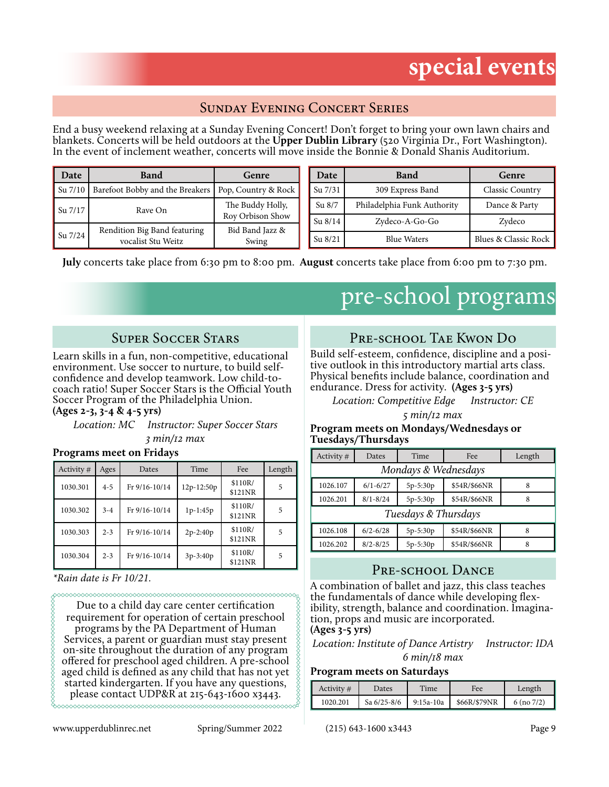## **special events**

## Sunday Evening Concert Series

End a busy weekend relaxing at a Sunday Evening Concert! Don't forget to bring your own lawn chairs and blankets. Concerts will be held outdoors at the **Upper Dublin Library** (520 Virginia Dr., Fort Washington). In the event of inclement weather, concerts will move inside the Bonnie & Donald Shanis Auditorium.

| Date    | <b>Band</b>                                        | Genre                               | Date      | <b>Band</b>                 | Genre                |
|---------|----------------------------------------------------|-------------------------------------|-----------|-----------------------------|----------------------|
| Su 7/10 | Barefoot Bobby and the Breakers                    | Pop, Country & Rock                 | Su 7/31   | 309 Express Band            | Classic Country      |
| Su 7/17 | Rave On                                            | The Buddy Holly,                    | Su 8/7    | Philadelphia Funk Authority | Dance & Party        |
|         |                                                    | Rov Orbison Show<br>Bid Band Jazz & | $Su$ 8/14 | Zydeco-A-Go-Go              | Zydeco               |
| Su 7/24 | Rendition Big Band featuring<br>vocalist Stu Weitz | Swing                               | Su 8/21   | <b>Blue Waters</b>          | Blues & Classic Rock |

**July** concerts take place from 6:30 pm to 8:00 pm. **August** concerts take place from 6:00 pm to 7:30 pm.

## pre-school programs

## Super Soccer Stars

Learn skills in a fun, non-competitive, educational environment. Use soccer to nurture, to build selfconfidence and develop teamwork. Low child-tocoach ratio! Super Soccer Stars is the Official Youth Soccer Program of the Philadelphia Union. **(Ages 2-3, 3-4 & 4-5 yrs)**

#### *Location: MC Instructor: Super Soccer Stars 3 min/12 max*

#### **Programs meet on Fridays**

| Activity # | Ages    | Dates         | Time         | Fee                | Length |
|------------|---------|---------------|--------------|--------------------|--------|
| 1030.301   | $4 - 5$ | Fr 9/16-10/14 | $12p-12:50p$ | \$110R/<br>\$121NR | 5      |
| 1030.302   | $3 - 4$ | Fr 9/16-10/14 | $1p-1:45p$   | \$110R/<br>\$121NR | 5      |
| 1030.303   | $2 - 3$ | Fr 9/16-10/14 | $2p-2:40p$   | \$110R/<br>\$121NR | 5      |
| 1030.304   | $2 - 3$ | Fr 9/16-10/14 | $3p-3:40p$   | \$110R/<br>\$121NR | 5      |

*\*Rain date is Fr 10/21.*

Due to a child day care center certification requirement for operation of certain preschool programs by the PA Department of Human Services, a parent or guardian must stay present on-site throughout the duration of any program offered for preschool aged children. A pre-school aged child is defined as any child that has not yet started kindergarten. If you have any questions, please contact UDP&R at 215-643-1600 x3443. 

#### www.upperdublinrec.net Spring/Summer 2022 (215) 643-1600 x3443 Page 9

## Pre-school Tae Kwon Do

Build self-esteem, confidence, discipline and a positive outlook in this introductory martial arts class. Physical benefits include balance, coordination and endurance. Dress for activity. **(Ages 3-5 yrs)**

*Location: Competitive Edge Instructor: CE*

*5 min/12 max*

#### **Program meets on Mondays/Wednesdays or Tuesdays/Thursdays**

| Activity $#$         | Dates        | Time     | Fee          | Length |  |
|----------------------|--------------|----------|--------------|--------|--|
| Mondays & Wednesdays |              |          |              |        |  |
| 1026.107             | $6/1 - 6/27$ | 5p-5:30p | \$54R/\$66NR | 8      |  |
| 1026.201             | $8/1 - 8/24$ | 5p-5:30p | \$54R/\$66NR | 8      |  |
| Tuesdays & Thursdays |              |          |              |        |  |
| 1026.108             | $6/2 - 6/28$ | 5p-5:30p | \$54R/\$66NR | 8      |  |
| 1026.202             | $8/2 - 8/25$ | 5p-5:30p | \$54R/\$66NR | 8      |  |

## PRE-SCHOOL DANCE

A combination of ballet and jazz, this class teaches ibility, strength, balance and coordination. Imagination, props and music are incorporated.

**(Ages 3-5 yrs)**

488888888888888888888

*Location: Institute of Dance Artistry Instructor: IDA* 

*6 min/18 max*

#### **Program meets on Saturdays**

| Activity $#$ | Dates           | Time        | Fee          | Length         |
|--------------|-----------------|-------------|--------------|----------------|
| 1020.201     | Sa $6/25 - 8/6$ | $9:15a-10a$ | \$66R/\$79NR | $6 \times 7/2$ |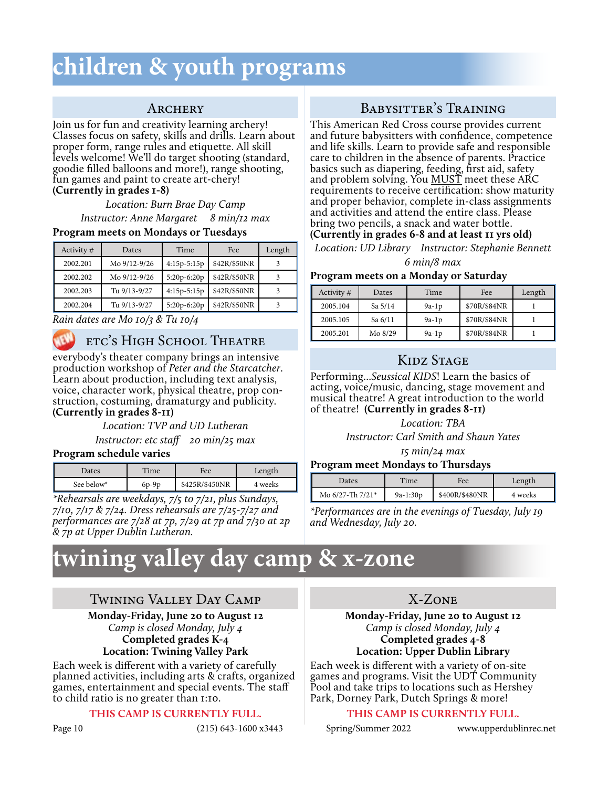## **children & youth programs**

### **ARCHERY**

Join us for fun and creativity learning archery! Classes focus on safety, skills and drills. Learn about proper form, range rules and etiquette. All skill levels welcome! We'll do target shooting (standard, goodie filled balloons and more!), range shooting, fun games and paint to create art-chery! **(Currently in grades 1-8)**

> *Location: Burn Brae Day Camp Instructor: Anne Margaret 8 min/12 max*

#### **Program meets on Mondays or Tuesdays**

| Activity $#$ | Dates        | Time          | Fee          | Length |
|--------------|--------------|---------------|--------------|--------|
| 2002.201     | Mo 9/12-9/26 | $4:15p-5:15p$ | \$42R/\$50NR |        |
| 2002.202     | Mo 9/12-9/26 | 5:20p-6:20p   | \$42R/\$50NR |        |
| 2002.203     | Tu 9/13-9/27 | $4:15p-5:15p$ | \$42R/\$50NR |        |
| 2002.204     | Tu 9/13-9/27 | $5:20p-6:20p$ | \$42R/\$50NR |        |

*Rain dates are Mo 10/3 & Tu 10/4*



## etc's High School Theatre

everybody's theater company brings an intensive production workshop of *Peter and the Starcatcher*. Learn about production, including text analysis, voice, character work, physical theatre, prop construction, costuming, dramaturgy and publicity. **(Currently in grades 8-11)**

#### *Location: TVP and UD Lutheran*

*Instructor: etc staff 20 min/25 max*

#### **Program schedule varies**

| Dates      | Time    | Fee            | Length  |
|------------|---------|----------------|---------|
| See below* | $6p-9p$ | \$425R/\$450NR | 4 weeks |

*\*Rehearsals are weekdays, 7/5 to 7/21, plus Sundays, 7/10, 7/17 & 7/24. Dress rehearsals are 7/25-7/27 and performances are 7/28 at 7p, 7/29 at 7p and 7/30 at 2p & 7p at Upper Dublin Lutheran.*

## **twining valley day camp & x-zone**

### Twining Valley Day Camp

#### **Monday-Friday, June 20 to August 12** *Camp is closed Monday, July 4* **Completed grades K-4 Location: Twining Valley Park**

Each week is different with a variety of carefully planned activities, including arts & crafts, organized games, entertainment and special events. The staff to child ratio is no greater than 1:10.

#### **THIS CAMP IS CURRENTLY FULL.**

## Babysitter's Training

This American Red Cross course provides current and future babysitters with confidence, competence and life skills. Learn to provide safe and responsible care to children in the absence of parents. Practice basics such as diapering, feeding, first aid, safety and problem solving. You MUST meet these ARC requirements to receive certification: show maturity and proper behavior, complete in-class assignments and activities and attend the entire class. Please bring two pencils, a snack and water bottle.

### **(Currently in grades 6-8 and at least 11 yrs old)**

*Location: UD Library Instructor: Stephanie Bennett 6 min/8 max*

#### **Program meets on a Monday or Saturday**

| Activity $#$ | Dates     | Time    | Fee          | Length |
|--------------|-----------|---------|--------------|--------|
| 2005.104     | Sa $5/14$ | $9a-1p$ | \$70R/\$84NR |        |
| 2005.105     | Sa 6/11   | $9a-1p$ | \$70R/\$84NR |        |
| 2005.201     | Mo 8/29   | $9a-1p$ | \$70R/\$84NR |        |

## KIDZ STAGE

Performing...*Seussical KIDS*! Learn the basics of acting, voice/music, dancing, stage movement and musical theatre! A great introduction to the world of theatre! **(Currently in grades 8-11)**

#### *Location: TBA*

*Instructor: Carl Smith and Shaun Yates* 

*15 min/24 max*

#### **Program meet Mondays to Thursdays**

| Dates                             | Time       | Fee            | Length  |
|-----------------------------------|------------|----------------|---------|
| Mo $6/27$ -Th $7/21$ <sup>*</sup> | $9a-1:30p$ | \$400R/\$480NR | 4 weeks |

*\*Performances are in the evenings of Tuesday, July 19 and Wednesday, July 20.*

### X-Zone

#### **Monday-Friday, June 20 to August 12** *Camp is closed Monday, July 4* **Completed grades 4-8 Location: Upper Dublin Library**

Each week is different with a variety of on-site games and programs. Visit the UDT Community Pool and take trips to locations such as Hershey Park, Dorney Park, Dutch Springs & more!

#### **THIS CAMP IS CURRENTLY FULL.**

Page 10 (215) 643-1600 x3443 Spring/Summer 2022 www.upperdublinrec.net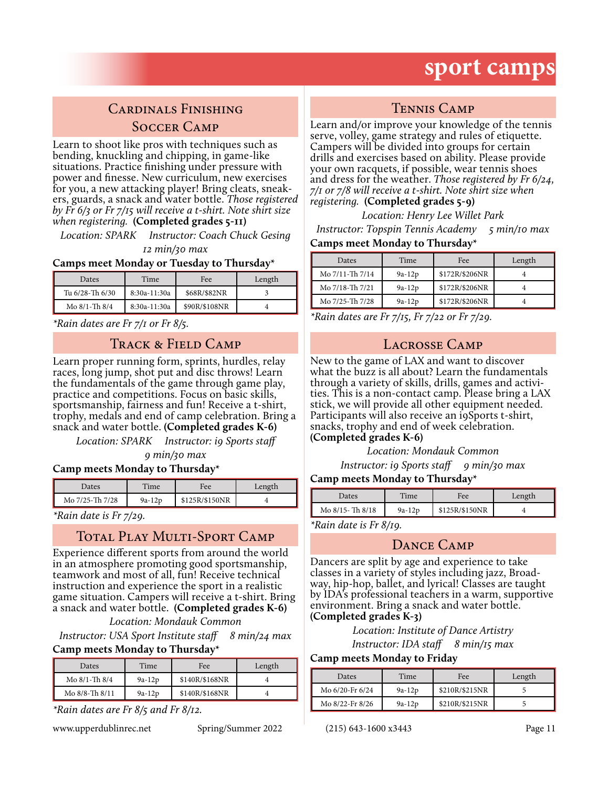## **sport camps**

## Cardinals Finishing Soccer Camp

Learn to shoot like pros with techniques such as bending, knuckling and chipping, in game-like situations. Practice finishing under pressure with power and finesse. New curriculum, new exercises for you, a new attacking player! Bring cleats, sneakers, guards, a snack and water bottle. *Those registered by Fr 6/3 or Fr 7/15 will receive a t-shirt. Note shirt size when registering.* **(Completed grades 5-11)**

*Location: SPARK Instructor: Coach Chuck Gesing 12 min/30 max*

#### **Camps meet Monday or Tuesday to Thursday\***

| Dates              | Time         | Fee           | Length |
|--------------------|--------------|---------------|--------|
| Tu 6/28-Th 6/30    | 8:30a-11:30a | \$68R/\$82NR  |        |
| Mo $8/1$ -Th $8/4$ | 8:30a-11:30a | \$90R/\$108NR |        |

*\*Rain dates are Fr 7/1 or Fr 8/5.*

#### TRACK & FIELD CAMP

Learn proper running form, sprints, hurdles, relay races, long jump, shot put and disc throws! Learn the fundamentals of the game through game play, practice and competitions. Focus on basic skills, sportsmanship, fairness and fun! Receive a t-shirt, trophy, medals and end of camp celebration. Bring a snack and water bottle. **(Completed grades K-6)**

*Location: SPARK Instructor: i9 Sports staff* 

*9 min/30 max*

#### **Camp meets Monday to Thursday\***

| Dates           | $T$ ime  | Fee            | Length |
|-----------------|----------|----------------|--------|
| Mo 7/25-Th 7/28 | $9a-12p$ | \$125R/\$150NR |        |

*\*Rain date is Fr 7/29.*

## TOTAL PLAY MULTI-SPORT CAMP

Experience different sports from around the world in an atmosphere promoting good sportsmanship, teamwork and most of all, fun! Receive technical instruction and experience the sport in a realistic game situation. Campers will receive a t-shirt. Bring a snack and water bottle. **(Completed grades K-6)**

*Location: Mondauk Common*

*Instructor: USA Sport Institute staff 8 min/24 max* **Camp meets Monday to Thursday\***

| Dates              | Time     | <b>Fee</b>     | Length |
|--------------------|----------|----------------|--------|
| Mo $8/1$ -Th $8/4$ | $9a-12p$ | \$140R/\$168NR |        |
| Mo 8/8-Th 8/11     | $9a-12p$ | \$140R/\$168NR |        |

*\*Rain dates are Fr 8/5 and Fr 8/12.*

www.upperdublinrec.net Spring/Summer 2022 (215) 643-1600 x3443 Page 11

### Tennis Camp

Learn and/or improve your knowledge of the tennis serve, volley, game strategy and rules of etiquette. Campers will be divided into groups for certain drills and exercises based on ability. Please provide your own racquets, if possible, wear tennis shoes and dress for the weather. *Those registered by Fr 6/24, 7/1 or 7/8 will receive a t-shirt. Note shirt size when registering.* **(Completed grades 5-9)**

*Location: Henry Lee Willet Park*

*Instructor: Topspin Tennis Academy 5 min/10 max*

#### **Camps meet Monday to Thursday\***

| Dates           | Time     | Fee            | Length |
|-----------------|----------|----------------|--------|
| Mo 7/11-Th 7/14 | $9a-12p$ | \$172R/\$206NR |        |
| Mo 7/18-Th 7/21 | $9a-12p$ | \$172R/\$206NR |        |
| Mo 7/25-Th 7/28 | $9a-12p$ | \$172R/\$206NR |        |

*\*Rain dates are Fr 7/15, Fr 7/22 or Fr 7/29.*

### Lacrosse Camp

New to the game of LAX and want to discover what the buzz is all about? Learn the fundamentals through a variety of skills, drills, games and activi- ties. This is a non-contact camp. Please bring a LAX stick, we will provide all other equipment needed. Participants will also receive an i9Sports t-shirt, snacks, trophy and end of week celebration. **(Completed grades K-6)**

*Location: Mondauk Common* 

*Instructor: i9 Sports staff* 9 min/30 max

#### **Camp meets Monday to Thursday\***

| Dates                                     | Time     | Fee            | Length |
|-------------------------------------------|----------|----------------|--------|
| Mo 8/15-Th 8/18                           | $9a-12p$ | \$125R/\$150NR |        |
| $*D$ gin data is $\Gamma_r$ $\Omega_{r0}$ |          |                |        |

*\*Rain date is Fr 8/19.*

### DANCE CAMP

Dancers are split by age and experience to take classes in a variety of styles including jazz, Broadway, hip-hop, ballet, and lyrical! Classes are taught by IDA's professional teachers in a warm, supportive environment. Bring a snack and water bottle. **(Completed grades K-3)**

> *Location: Institute of Dance Artistry Instructor: IDA staff 8 min/15 max*

#### **Camp meets Monday to Friday**

| Dates           | Time     | <b>Fee</b>     | Length |
|-----------------|----------|----------------|--------|
| Mo 6/20-Fr 6/24 | $9a-12p$ | \$210R/\$215NR |        |
| Mo 8/22-Fr 8/26 | $9a-12p$ | \$210R/\$215NR |        |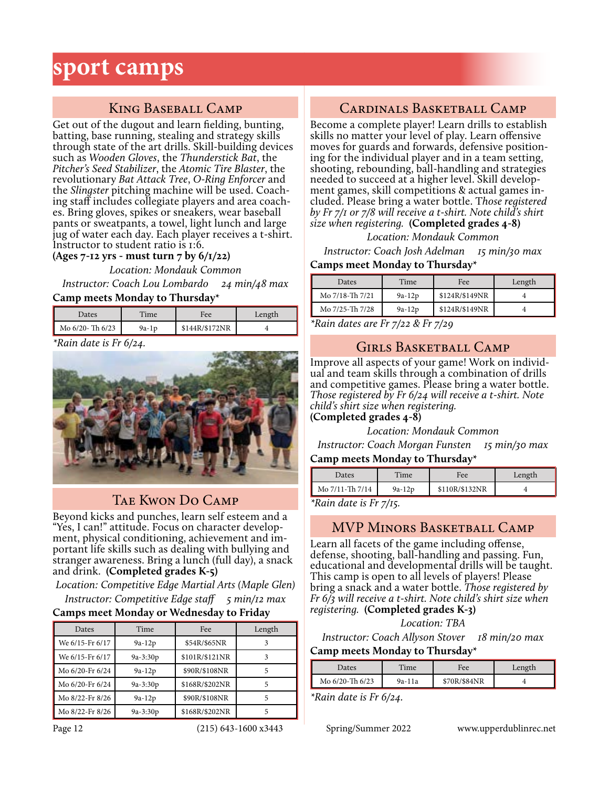## **sport camps**

## King Baseball Camp

Get out of the dugout and learn fielding, bunting, batting, base running, stealing and strategy skills through state of the art drills. Skill-building devices such as *Wooden Gloves*, the *Thunderstick Bat*, the *Pitcher's Seed Stabilizer*, the *Atomic Tire Blaster*, the revolutionary *Bat Attack Tree*, *O-Ring Enforcer* and the *Slingster* pitching machine will be used. Coaching staff includes collegiate players and area coaches. Bring gloves, spikes or sneakers, wear baseball pants or sweatpants, a towel, light lunch and large jug of water each day. Each player receives a t-shirt. Instructor to student ratio is 1:6.

**(Ages 7-12 yrs - must turn 7 by 6/1/22)**

*Location: Mondauk Common*

*Instructor: Coach Lou Lombardo 24 min/48 max* **Camp meets Monday to Thursday\***

| Dates                 | Time    | Fee            | Length |
|-----------------------|---------|----------------|--------|
| $\log 6/20$ - Th 6/23 | $9a-1p$ | \$144R/\$172NR |        |
| $\cdots$              |         |                |        |

*\*Rain date is Fr 6/24.*



## Tae Kwon Do Camp

Beyond kicks and punches, learn self esteem and a "Yes, I can!" attitude. Focus on character development, physical conditioning, achievement and important life skills such as dealing with bullying and stranger awareness. Bring a lunch (full day), a snack and drink. **(Completed grades K-5)**

*Location: Competitive Edge Martial Arts (Maple Glen) Instructor: Competitive Edge staff 5 min/12 max* **Camps meet Monday or Wednesday to Friday**

### Dates | Time | Fee | Length We 6/15-Fr 6/17 9a-12p \$54R/\$65NR 3 We 6/15-Fr 6/17 9a-3:30p \$101R/\$121NR 3 Mo 6/20-Fr 6/24 9a-12p \$90R/\$108NR 5 Mo 6/20-Fr 6/24 9a-3:30p \$168R/\$202NR 5 Mo 8/22-Fr 8/26 9a-12p \$90R/\$108NR 5 Mo 8/22-Fr 8/26 9a-3:30p \$168R/\$202NR 5

## Cardinals Basketball Camp

Become a complete player! Learn drills to establish skills no matter your level of play. Learn offensive moves for guards and forwards, defensive positioning for the individual player and in a team setting, shooting, rebounding, ball-handling and strategies needed to succeed at a higher level. Skill development games, skill competitions & actual games included. Please bring a water bottle. T*hose registered by Fr 7/1 or 7/8 will receive a t-shirt. Note child's shirt size when registering.* **(Completed grades 4-8)**

*Location: Mondauk Common*

*Instructor: Coach Josh Adelman 15 min/30 max* **Camps meet Monday to Thursday\***

### Dates Time Fee Length Mo 7/18-Th 7/21 9a-12p  $$124R/\$149NR$  4 Mo 7/25-Th 7/28 9a-12p \$124R/\$149NR 4

*\*Rain dates are Fr 7/22 & Fr 7/29*

## Girls Basketball Camp

Improve all aspects of your game! Work on individual and team skills through a combination of drills and competitive games. Please bring a water bottle. *Those registered by Fr 6/24 will receive a t-shirt. Note child's shirt size when registering.*  **(Completed grades 4-8)**

*Location: Mondauk Common*

*Instructor: Coach Morgan Funsten 15 min/30 max* **Camp meets Monday to Thursday\***

| Dates           | Time     | Fee            | Length |
|-----------------|----------|----------------|--------|
| Mo 7/11-Th 7/14 | $9a-12p$ | \$110R/\$132NR |        |

*\*Rain date is Fr 7/15.*

### MVP Minors Basketball Camp

Learn all facets of the game including offense, defense, shooting, ball-handling and passing. Fun, educational and developmental drills will be taught. This camp is open to all levels of players! Please bring a snack and a water bottle. *Those registered by Fr 6/3 will receive a t-shirt. Note child's shirt size when registering.* **(Completed grades K-3)**

*Location: TBA*

*Instructor: Coach Allyson Stover 18 min/20 max*

#### **Camp meets Monday to Thursday\***

| Dates           | Time   | Fee          | Length |
|-----------------|--------|--------------|--------|
| Mo 6/20-Th 6/23 | 9a-11a | \$70R/\$84NR |        |

*\*Rain date is Fr 6/24.*

Page 12 (215) 643-1600 x3443 Spring/Summer 2022 www.upperdublinrec.net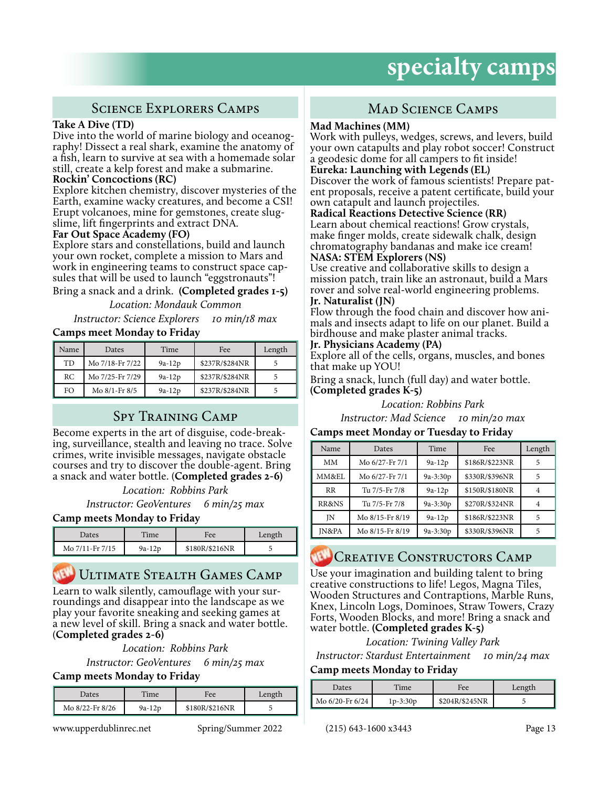## Science Explorers Camps

#### **Take A Dive (TD)**

Dive into the world of marine biology and oceanography! Dissect a real shark, examine the anatomy of a fish, learn to survive at sea with a homemade solar still, create a kelp forest and make a submarine.

#### **Rockin' Concoctions (RC)**

Explore kitchen chemistry, discover mysteries of the Earth, examine wacky creatures, and become a CSI! Erupt volcanoes, mine for gemstones, create slugslime, lift fingerprints and extract DNA.

#### **Far Out Space Academy (FO)**

Explore stars and constellations, build and launch your own rocket, complete a mission to Mars and work in engineering teams to construct space capsules that will be used to launch "eggstronauts"!

Bring a snack and a drink. **(Completed grades 1-5)**

*Location: Mondauk Common*

*Instructor: Science Explorers 10 min/18 max*

#### **Camps meet Monday to Friday**

| Name | Dates           | Time     | Fee            | Length |
|------|-----------------|----------|----------------|--------|
| TD   | Mo 7/18-Fr 7/22 | $9a-12p$ | \$237R/\$284NR |        |
| RC.  | Mo 7/25-Fr 7/29 | $9a-12p$ | \$237R/\$284NR |        |
| FO   | Mo 8/1-Fr 8/5   | $9a-12p$ | \$237R/\$284NR |        |

## Spy Training Camp

Become experts in the art of disguise, code-break- ing, surveillance, stealth and leaving no trace. Solve crimes, write invisible messages, navigate obstacle courses and try to discover the double-agent. Bring a snack and water bottle. (**Completed grades 2-6)**

*Location: Robbins Park*

*Instructor: GeoVentures 6 min/25 max*

#### **Camp meets Monday to Friday**

| Dates           | Time   | Fee            | Length |
|-----------------|--------|----------------|--------|
| Mo 7/11-Fr 7/15 | 9a-12p | \$180R/\$216NR |        |

## Ultimate Stealth Games Camp

Learn to walk silently, camouflage with your sur- roundings and disappear into the landscape as we play your favorite sneaking and seeking games at a new level of skill. Bring a snack and water bottle. (**Completed grades 2-6)**

*Location: Robbins Park*

*Instructor: GeoVentures 6 min/25 max*

#### **Camp meets Monday to Friday**

| Dates           | Time     | Fee            | Length |
|-----------------|----------|----------------|--------|
| Mo 8/22-Fr 8/26 | $9a-12p$ | \$180R/\$216NR |        |

www.upperdublinrec.net Spring/Summer 2022 (215) 643-1600 x3443 Page 13

## MAD SCIENCE CAMPS

#### **Mad Machines (MM)**

Work with pulleys, wedges, screws, and levers, build your own catapults and play robot soccer! Construct a geodesic dome for all campers to fit inside!

#### **Eureka: Launching with Legends (EL)**

Discover the work of famous scientists! Prepare pat-<br>ent proposals, receive a patent certificate, build your own catapult and launch projectiles.

#### **Radical Reactions Detective Science (RR)**

Learn about chemical reactions! Grow crystals, make finger molds, create sidewalk chalk, design chromatography bandanas and make ice cream!

#### **NASA: STEM Explorers (NS)**

Use creative and collaborative skills to design a mission patch, train like an astronaut, build a Mars rover and solve real-world engineering problems.

#### **Jr. Naturalist (JN)**

Flow through the food chain and discover how ani- mals and insects adapt to life on our planet. Build a birdhouse and make plaster animal tracks.

#### **Jr. Physicians Academy (PA)**

Explore all of the cells, organs, muscles, and bones that make up YOU!

Bring a snack, lunch (full day) and water bottle. **(Completed grades K-5)**

*Location: Robbins Park*

*Instructor: Mad Science 10 min/20 max*

#### **Camps meet Monday or Tuesday to Friday**

| Name             | Dates           | Time       | Fee            | Length |
|------------------|-----------------|------------|----------------|--------|
| MМ               | Mo 6/27-Fr 7/1  | $9a-12p$   | \$186R/\$223NR | 5      |
| MM&EL            | Mo 6/27-Fr 7/1  | $9a-3:30p$ | \$330R/\$396NR | 5      |
| RR               | Tu 7/5-Fr 7/8   | $9a-12p$   | \$150R/\$180NR |        |
| RR&NS            | Tu 7/5-Fr 7/8   | $9a-3:30p$ | \$270R/\$324NR |        |
| JN               | Mo 8/15-Fr 8/19 | $9a-12p$   | \$186R/\$223NR | 5      |
| <b>IN&amp;PA</b> | Mo 8/15-Fr 8/19 | $9a-3:30p$ | \$330R/\$396NR |        |

## CREATIVE CONSTRUCTORS CAMP

Use your imagination and building talent to bring creative constructions to life! Legos, Magna Tiles, Wooden Structures and Contraptions, Marble Runs, Knex, Lincoln Logs, Dominoes, Straw Towers, Crazy Forts, Wooden Blocks, and more! Bring a snack and water bottle. **(Completed grades K-5)**

*Location: Twining Valley Park*

*Instructor: Stardust Entertainment 10 min/24 max*

#### **Camp meets Monday to Friday**

| Dates                | $T$ ime  | Fee            | Length |
|----------------------|----------|----------------|--------|
| Mo $6/20$ -Fr $6/24$ | 1p-3:30p | \$204R/\$245NR |        |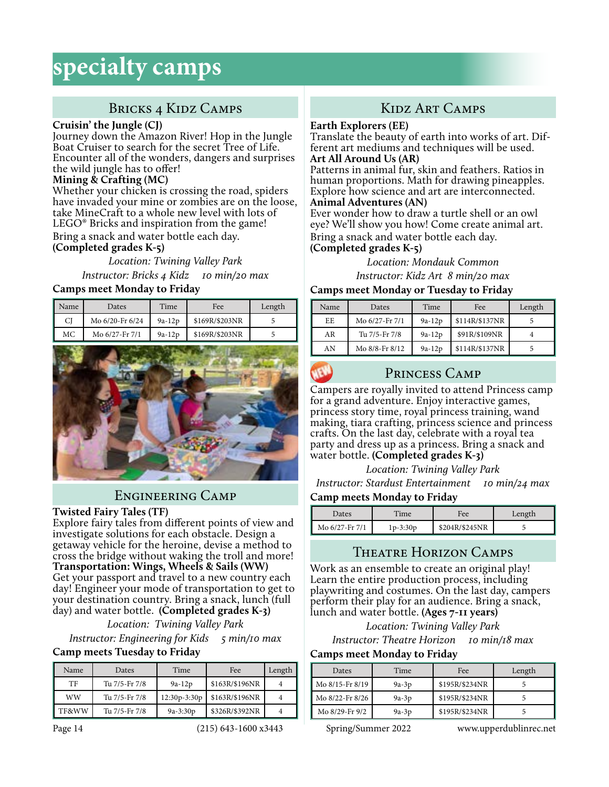## BRICKS 4 KIDZ CAMPS

#### **Cruisin' the Jungle (CJ)**

Journey down the Amazon River! Hop in the Jungle Boat Cruiser to search for the secret Tree of Life. Encounter all of the wonders, dangers and surprises the wild jungle has to offer!

#### **Mining & Crafting (MC)**

Whether your chicken is crossing the road, spiders have invaded your mine or zombies are on the loose, take MineCraft to a whole new level with lots of LEGO® Bricks and inspiration from the game! Bring a snack and water bottle each day. **(Completed grades K-5)**

*Location: Twining Valley Park Instructor: Bricks 4 Kidz 10 min/20 max*

#### **Camps meet Monday to Friday**

| l Name | Dates           | Time     | Fee            | Length |
|--------|-----------------|----------|----------------|--------|
| CJ     | Mo 6/20-Fr 6/24 | $9a-12p$ | \$169R/\$203NR |        |
| МC     | Mo 6/27-Fr 7/1  | $9a-12p$ | \$169R/\$203NR |        |



### Engineering Camp

#### **Twisted Fairy Tales (TF)**

Explore fairy tales from different points of view and investigate solutions for each obstacle. Design a getaway vehicle for the heroine, devise a method to cross the bridge without waking the troll and more! **Transportation: Wings, Wheels & Sails (WW)** Get your passport and travel to a new country each day! Engineer your mode of transportation to get to your destination country. Bring a snack, lunch (full day) and water bottle. **(Completed grades K-3)**

*Location: Twining Valley Park Instructor: Engineering for Kids 5 min/10 max*

#### **Camp meets Tuesday to Friday**

| Name  | Dates         | Time         | Fee            | Length |
|-------|---------------|--------------|----------------|--------|
| TF    | Tu 7/5-Fr 7/8 | $9a-12p$     | \$163R/\$196NR |        |
| WW    | Tu 7/5-Fr 7/8 | 12:30p-3:30p | \$163R/\$196NR |        |
| TF&WW | Tu 7/5-Fr 7/8 | $9a-3:30p$   | \$326R/\$392NR |        |

## Kidz Art Camps

#### **Earth Explorers (EE)**

Translate the beauty of earth into works of art. Different art mediums and techniques will be used. **Art All Around Us (AR)**

Patterns in animal fur, skin and feathers. Ratios in human proportions. Math for drawing pineapples. Explore how science and art are interconnected. **Animal Adventures (AN)**

Ever wonder how to draw a turtle shell or an owl eye? We'll show you how! Come create animal art. Bring a snack and water bottle each day.

#### **(Completed grades K-5)**

*Location: Mondauk Common Instructor: Kidz Art 8 min/20 max*

### **Camps meet Monday or Tuesday to Friday**

| Name | Dates          | Time     | Fee            | Length |
|------|----------------|----------|----------------|--------|
| EE   | Mo 6/27-Fr 7/1 | $9a-12p$ | \$114R/\$137NR |        |
| AR   | Tu 7/5-Fr 7/8  | $9a-12p$ | \$91R/\$109NR  |        |
| AN   | Mo 8/8-Fr 8/12 | $9a-12p$ | \$114R/\$137NR |        |



### Princess Camp

Campers are royally invited to attend Princess camp for a grand adventure. Enjoy interactive games, princess story time, royal princess training, wand making, tiara crafting, princess science and princess crafts. On the last day, celebrate with a royal tea party and dress up as a princess. Bring a snack and water bottle. **(Completed grades K-3)**

*Location: Twining Valley Park*

*Instructor: Stardust Entertainment 10 min/24 max*

#### **Camp meets Monday to Friday**

| Dates          | Time       | Fee            | Length |
|----------------|------------|----------------|--------|
| Mo 6/27-Fr 7/1 | $1p-3:30p$ | \$204R/\$245NR |        |

## Theatre Horizon Camps

Work as an ensemble to create an original play! Learn the entire production process, including playwriting and costumes. On the last day, campers perform their play for an audience. Bring a snack, lunch and water bottle. **(Ages 7-11 years)**

*Location: Twining Valley Park*

*Instructor: Theatre Horizon 10 min/18 max* **Camps meet Monday to Friday**

| Dates           | Time    | Fee            | Length |
|-----------------|---------|----------------|--------|
| Mo 8/15-Fr 8/19 | $9a-3p$ | \$195R/\$234NR |        |
| Mo 8/22-Fr 8/26 | $9a-3p$ | \$195R/\$234NR |        |
| Mo 8/29-Fr 9/2  | $9a-3p$ | \$195R/\$234NR |        |

Page 14 (215) 643-1600 x3443 Spring/Summer 2022 www.upperdublinrec.net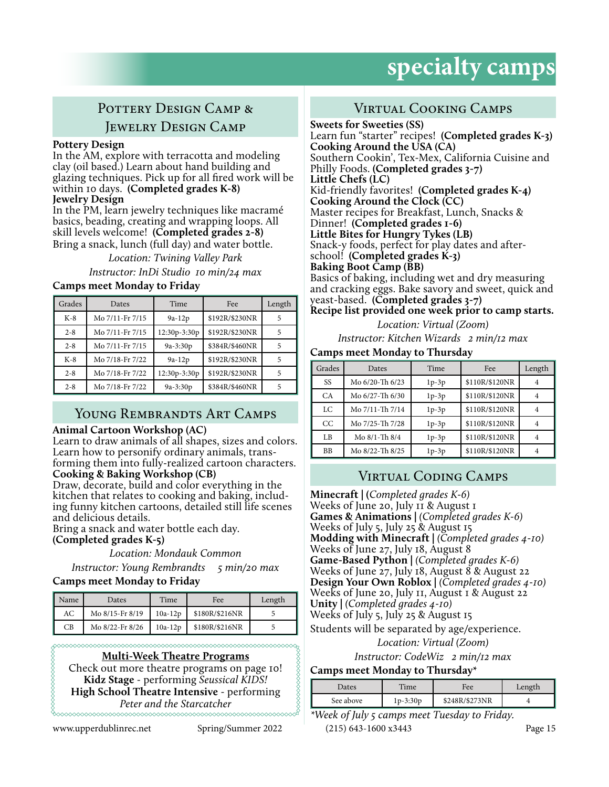## POTTERY DESIGN CAMP & Jewelry Design Camp

#### **Pottery Design**

In the AM, explore with terracotta and modeling clay (oil based.) Learn about hand building and glazing techniques. Pick up for all fired work will be within 10 days. **(Completed grades K-8) Jewelry Design**

In the PM, learn jewelry techniques like macramé basics, beading, creating and wrapping loops. All skill levels welcome! **(Completed grades 2-8)** Bring a snack, lunch (full day) and water bottle.

> *Location: Twining Valley Park Instructor: InDi Studio 10 min/24 max*

#### **Camps meet Monday to Friday**

| Grades  | Dates           | Time         | Fee            | Length |
|---------|-----------------|--------------|----------------|--------|
| $K-8$   | Mo 7/11-Fr 7/15 | $9a-12p$     | \$192R/\$230NR |        |
| $2 - 8$ | Mo 7/11-Fr 7/15 | 12:30p-3:30p | \$192R/\$230NR |        |
| $2 - 8$ | Mo 7/11-Fr 7/15 | $9a-3:30p$   | \$384R/\$460NR | 5      |
| $K-8$   | Mo 7/18-Fr 7/22 | $9a-12p$     | \$192R/\$230NR | 5      |
| $2 - 8$ | Mo 7/18-Fr 7/22 | 12:30p-3:30p | \$192R/\$230NR | 5      |
| $2 - 8$ | Mo 7/18-Fr 7/22 | $9a-3:30p$   | \$384R/\$460NR |        |

### YOUNG REMBRANDTS ART CAMPS

#### **Animal Cartoon Workshop (AC)**

Learn to draw animals of all shapes, sizes and colors. Learn how to personify ordinary animals, transforming them into fully-realized cartoon characters. **Cooking & Baking Workshop (CB)**

Draw, decorate, build and color everything in the kitchen that relates to cooking and baking, including funny kitchen cartoons, detailed still life scenes and delicious details.

Bring a snack and water bottle each day.

**(Completed grades K-5)**

*Location: Mondauk Common*

*Instructor: Young Rembrandts 5 min/20 max*

#### **Camps meet Monday to Friday**

| Name | Dates           | Time      | Fee            | Length |
|------|-----------------|-----------|----------------|--------|
| АC   | Mo 8/15-Fr 8/19 | $10a-12p$ | \$180R/\$216NR |        |
| CВ   | Mo 8/22-Fr 8/26 | $10a-12p$ | \$180R/\$216NR |        |

**Multi-Week Theatre Programs** Check out more theatre programs on page 10! **Kidz Stage** - performing *Seussical KIDS!* **High School Theatre Intensive** - performing *Peter and the Starcatcher*

www.upperdublinrec.net Spring/Summer 2022 (215) 643-1600 x3443 Page 15

## Virtual Cooking Camps

**Sweets for Sweeties (SS)** Learn fun "starter" recipes! **(Completed grades K-3) Cooking Around the USA (CA)** Southern Cookin', Tex-Mex, California Cuisine and Philly Foods. **(Completed grades 3-7) Little Chefs (LC)** Kid-friendly favorites! **(Completed grades K-4) Cooking Around the Clock (CC)** Master recipes for Breakfast, Lunch, Snacks & Dinner! **(Completed grades 1-6) Little Bites for Hungry Tykes (LB)** Snack-y foods, perfect for play dates and afterschool! **(Completed grades K-3) Baking Boot Camp (BB)** Basics of baking, including wet and dry measuring and cracking eggs. Bake savory and sweet, quick and yeast-based. **(Completed grades 3-7)**

**Recipe list provided one week prior to camp starts.**

*Location: Virtual (Zoom)*

*Instructor: Kitchen Wizards 2 min/12 max*

#### **Camps meet Monday to Thursday**

| Grades    | Dates           | Time    | Fee            | Length |
|-----------|-----------------|---------|----------------|--------|
| SS        | Mo 6/20-Th 6/23 | $1p-3p$ | \$110R/\$120NR |        |
| <b>CA</b> | Mo 6/27-Th 6/30 | $1p-3p$ | \$110R/\$120NR |        |
| LC        | Mo 7/11-Th 7/14 | $1p-3p$ | \$110R/\$120NR |        |
| CC        | Mo 7/25-Th 7/28 | $1p-3p$ | \$110R/\$120NR | 4      |
| LB        | Mo 8/1-Th 8/4   | $1p-3p$ | \$110R/\$120NR |        |
| BB        | Mo 8/22-Th 8/25 | $1p-3p$ | \$110R/\$120NR |        |

### Virtual Coding Camps

**Minecraft | (***Completed grades K-6)* Weeks of June 20, July II & August I **Games & Animations |** *(Completed grades K-6)* Weeks of July 5, July 25 & August 15 **Modding with Minecraft |** *(Completed grades 4-10)* Weeks of June 27, July 18, August 8 **Game-Based Python |** *(Completed grades K-6)* Weeks of June 27, July 18, August 8 & August 22 **Design Your Own Roblox |** *(Completed grades 4-10)* Weeks of June 20, July 11, August 1 & August 22 **Unity |** *(Completed grades 4-10)* Weeks of July 5, July 25 & August 15 Students will be separated by age/experience.

#### *Location: Virtual (Zoom)*

*Instructor: CodeWiz 2 min/12 max*

#### **Camps meet Monday to Thursday\***

| Dates     | Time       | Fee            | Length |
|-----------|------------|----------------|--------|
| See above | $1p-3:30p$ | \$248R/\$273NR |        |

*\*Week of July 5 camps meet Tuesday to Friday.*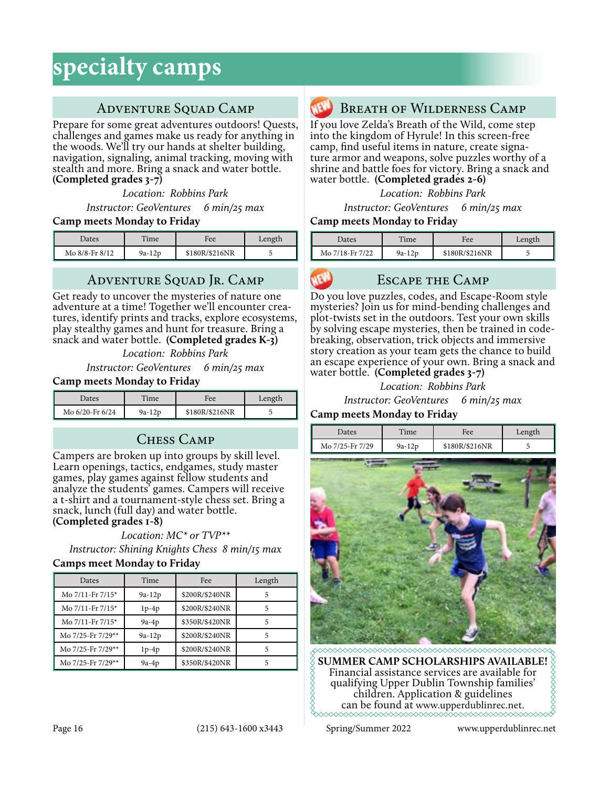## ADVENTURE SQUAD CAMP

Prepare for some great adventures outdoors! Quests, challenges and games make us ready for anything in the woods. We'll try our hands at shelter building, navigation, signaling, animal tracking, moving with stealth and more. Bring a snack and water bottle. **(Completed grades 3-7)**

*Location: Robbins Park Instructor: GeoVentures 6 min/25 max*

#### **Camp meets Monday to Friday**

| Dates          | Time     | Fee            | Length |
|----------------|----------|----------------|--------|
| Mo 8/8-Fr 8/12 | $9a-12p$ | \$180R/\$216NR |        |

## Adventure Squad Jr. Camp

Get ready to uncover the mysteries of nature one<br>adventure at a time! Together we'll encounter creatures, identify prints and tracks, explore ecosystems, play stealthy games and hunt for treasure. Bring a snack and water bottle. **(Completed grades K-3)**

*Location: Robbins Park*

*Instructor: GeoVentures 6 min/25 max*

#### **Camp meets Monday to Friday**

| Dates           | Time     | Fee            | Length |
|-----------------|----------|----------------|--------|
| Mo 6/20-Fr 6/24 | $9a-12p$ | \$180R/\$216NR |        |

## Chess Camp

Campers are broken up into groups by skill level. Learn openings, tactics, endgames, study master games, play games against fellow students and analyze the students' games. Campers will receive a t-shirt and a tournament-style chess set. Bring a snack, lunch (full day) and water bottle.

**(Completed grades 1-8)**

*Location: MC\* or TVP\*\* Instructor: Shining Knights Chess 8 min/15 max*

#### **Camps meet Monday to Friday**

| Dates                 | Time     | Fee            | Length |
|-----------------------|----------|----------------|--------|
| Mo 7/11-Fr 7/15*      | $9a-12p$ | \$200R/\$240NR | 5      |
| Mo 7/11-Fr 7/15*      | $1p-4p$  | \$200R/\$240NR |        |
| Mo $7/11$ -Fr $7/15*$ | $9a-4p$  | \$350R/\$420NR |        |
| Mo 7/25-Fr 7/29**     | $9a-12p$ | \$200R/\$240NR | 5      |
| Mo 7/25-Fr 7/29**     | $1p-4p$  | \$200R/\$240NR | 5      |
| Mo 7/25-Fr 7/29**     | $9a-4p$  | \$350R/\$420NR |        |



### Breath of Wilderness Camp

If you love Zelda's Breath of the Wild, come step into the kingdom of Hyrule! In this screen-free camp, find useful items in nature, create signature armor and weapons, solve puzzles worthy of a shrine and battle foes for victory. Bring a snack and water bottle. **(Completed grades 2-6)**

*Location: Robbins Park*

*Instructor: GeoVentures 6 min/25 max*

#### **Camp meets Monday to Friday**

| Dates           | Time     | Fee            | Length |
|-----------------|----------|----------------|--------|
| Mo 7/18-Fr 7/22 | $9a-12p$ | \$180R/\$216NR |        |

#### Escape the Camp

Do you love puzzles, codes, and Escape-Room style mysteries? Join us for mind-bending challenges and plot-twists set in the outdoors. Test your own skills by solving escape mysteries, then be trained in codebreaking, observation, trick objects and immersive story creation as your team gets the chance to build an escape experience of your own. Bring a snack and water bottle. **(Completed grades 3-7)**

*Location: Robbins Park*

*Instructor: GeoVentures 6 min/25 max*

#### **Camp meets Monday to Friday**



SUMMER CAMP SCHOLARSHIPS AVAILABLE!  $\lozenge$ Financial assistance services are available for qualifying Upper Dublin Township families' children. Application & guidelines can be found at www.upperdublinrec.net.

Page 16 (215) 643-1600 x3443 Spring/Summer 2022 www.upperdublinrec.net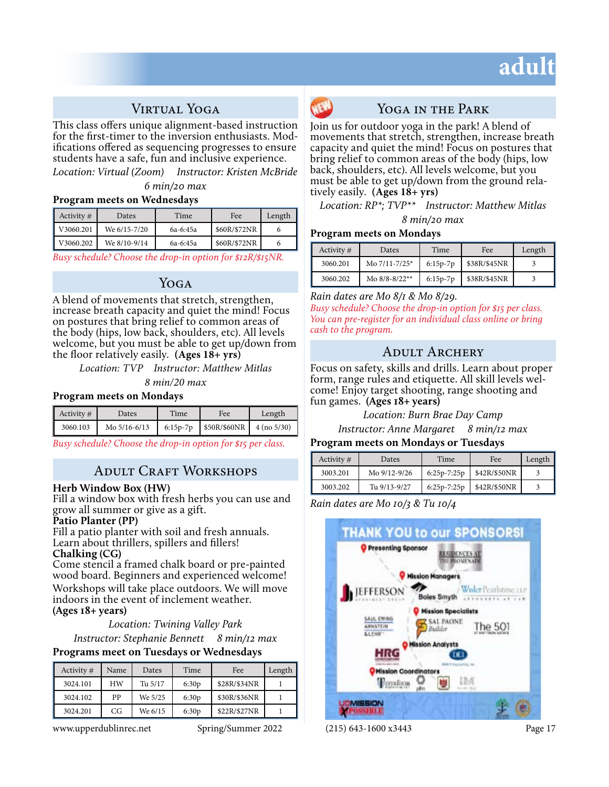## **adult**

## Virtual Yoga

This class offers unique alignment-based instruction for the first-timer to the inversion enthusiasts. Modifications offered as sequencing progresses to ensure students have a safe, fun and inclusive experience.

*Location: Virtual (Zoom) Instructor: Kristen McBride 6 min/20 max*

#### **Program meets on Wednesdays**

| Activity $#$               | Dates        | Time     | Fee          | Length |
|----------------------------|--------------|----------|--------------|--------|
| $\sqrt{1 \times 3060.201}$ | We 6/15-7/20 | 6a-6:45a | \$60R/\$72NR |        |
| V3060.202                  | We 8/10-9/14 | 6a-6:45a | \$60R/\$72NR |        |

*Busy schedule? Choose the drop-in option for \$12R/\$15NR.*

#### YOGA

A blend of movements that stretch, strengthen, increase breath capacity and quiet the mind! Focus on postures that bring relief to common areas of the body (hips, low back, shoulders, etc). All levels welcome, but you must be able to get up/down from the floor relatively easily. **(Ages 18+ yrs)**

*Location: TVP Instructor: Matthew Mitlas*

*8 min/20 max*

#### **Program meets on Mondays**

| Activity # | <b>Dates</b> | Time | Fee                                   | Length |
|------------|--------------|------|---------------------------------------|--------|
| 3060.103   | Mo 5/16-6/13 |      | 6:15p-7p   $$50R/$60NR$   4 (no 5/30) |        |

*Busy schedule? Choose the drop-in option for \$15 per class.*

### Adult Craft Workshops

#### **Herb Window Box (HW)**

Fill a window box with fresh herbs you can use and grow all summer or give as a gift.

#### **Patio Planter (PP)**

Fill a patio planter with soil and fresh annuals. Learn about thrillers, spillers and fillers!

**Chalking (CG)** 

Come stencil a framed chalk board or pre-painted wood board. Beginners and experienced welcome! Workshops will take place outdoors. We will move indoors in the event of inclement weather. **(Ages 18+ years)** 

#### *Location: Twining Valley Park*

*Instructor: Stephanie Bennett 8 min/12 max*

#### **Programs meet on Tuesdays or Wednesdays**

| Activity $#$ | Name | Dates   | Time  | Fee          | Length |
|--------------|------|---------|-------|--------------|--------|
| 3024.101     | HW   | Tu 5/17 | 6:30p | \$28R/\$34NR |        |
| 3024.102     | PP   | We 5/25 | 6:30p | \$30R/\$36NR |        |
| 3024.201     | CG   | We 6/15 | 6:30p | \$22R/\$27NR |        |

www.upperdublinrec.net Spring/Summer 2022 (215) 643-1600 x3443 Page 17



### YOGA IN THE PARK

Join us for outdoor yoga in the park! A blend of movements that stretch, strengthen, increase breath capacity and quiet the mind! Focus on postures that bring relief to common areas of the body (hips, low back, shoulders, etc). All levels welcome, but you must be able to get up/down from the ground relatively easily. **(Ages 18+ yrs)**

*Location: RP\*; TVP\*\* Instructor: Matthew Mitlas 8 min/20 max*

#### **Program meets on Mondays**

| Activity # | Dates             | Time       | Fee          | Length |
|------------|-------------------|------------|--------------|--------|
| 3060.201   | Mo 7/11-7/25*     | $6:15p-7p$ | \$38R/\$45NR |        |
| 3060.202   | Mo $8/8 - 8/22**$ | $6:15p-7p$ | \$38R/\$45NR |        |

*Rain dates are Mo 8/1 & Mo 8/29.*

*Busy schedule? Choose the drop-in option for \$15 per class. You can pre-register for an individual class online or bring cash to the program.*

### Adult Archery

Focus on safety, skills and drills. Learn about proper form, range rules and etiquette. All skill levels wel- come! Enjoy target shooting, range shooting and fun games. **(Ages 18+ years)** 

> *Location: Burn Brae Day Camp Instructor: Anne Margaret 8 min/12 max*

#### **Program meets on Mondays or Tuesdays**

| Activity # | Dates        | Time          | Fee          | Length |
|------------|--------------|---------------|--------------|--------|
| 3003.201   | Mo 9/12-9/26 | $6:25p-7:25p$ | \$42R/\$50NR |        |
| 3003.202   | Tu 9/13-9/27 | $6:25p-7:25p$ | \$42R/\$50NR |        |

*Rain dates are Mo 10/3 & Tu 10/4*

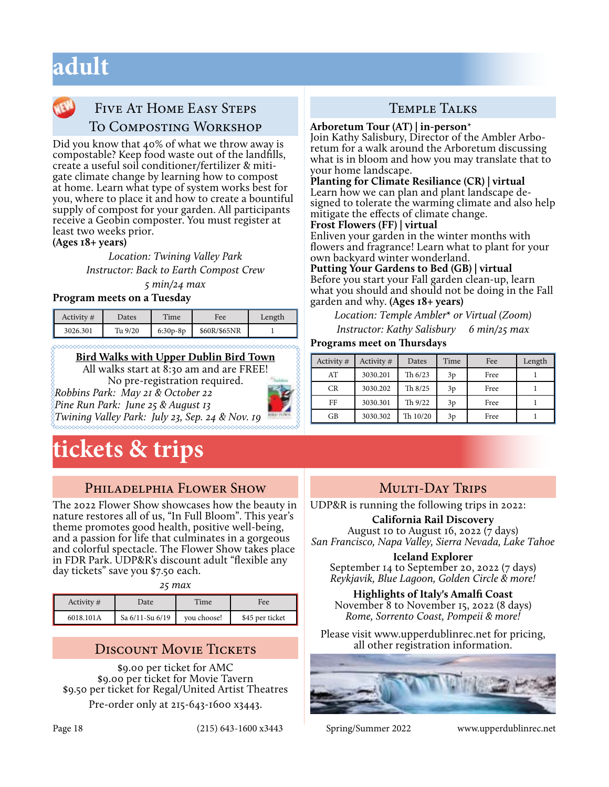## **adult**

## FIVE AT HOME EASY STEPS To Composting Workshop

Did you know that 40% of what we throw away is compostable? Keep food waste out of the landfills, create a useful soil conditioner/fertilizer & mitigate climate change by learning how to compost at home. Learn what type of system works best for you, where to place it and how to create a bountiful supply of compost for your garden. All participants receive a Geobin composter. You must register at least two weeks prior.

**(Ages 18+ years)** 

*Location: Twining Valley Park Instructor: Back to Earth Compost Crew* 

*5 min/24 max*

#### **Program meets on a Tuesday**

| Activity $#$ | Dates   | Time       | Fee          | Length |
|--------------|---------|------------|--------------|--------|
| 3026.301     | Tu 9/20 | $6:30p-8p$ | \$60R/\$65NR |        |

#### **Bird Walks with Upper Dublin Bird Town**

All walks start at 8:30 am and are FREE! No pre-registration required. *Robbins Park: May 21 & October 22*



## **tickets & trips**

## PHILADELPHIA FLOWER SHOW

The 2022 Flower Show showcases how the beauty in nature restores all of us, "In Full Bloom". This year's theme promotes good health, positive well-being, and a passion for life that culminates in a gorgeous and colorful spectacle. The Flower Show takes place in FDR Park. UDP&R's discount adult "flexible any day tickets" save you \$7.50 each.

*25 max*

| Activity $#$ | Date            | Time        | Fee             |
|--------------|-----------------|-------------|-----------------|
| 6018.101A    | Sa 6/11-Su 6/19 | you choose! | \$45 per ticket |

\$9.00 per ticket for AMC \$9.00 per ticket for Movie Tavern \$9.50 per ticket for Regal/United Artist Theatres

Pre-order only at 215-643-1600 x3443.

## Temple Talks

**Arboretum Tour (AT) | in-person**\* Join Kathy Salisbury, Director of the Ambler Arbo- retum for a walk around the Arboretum discussing what is in bloom and how you may translate that to your home landscape.

## **Planting for Climate Resiliance (CR) | virtual**

signed to tolerate the warming climate and also help mitigate the effects of climate change.

#### **Frost Flowers (FF) | virtual**

Enliven your garden in the winter months with flowers and fragrance! Learn what to plant for your own backyard winter wonderland.

#### **Putting Your Gardens to Bed (GB) | virtual**  Before you start your Fall garden clean-up, learn what you should and should not be doing in the Fall garden and why. **(Ages 18+ years)**

*Location: Temple Ambler***\*** *or Virtual (Zoom)* 

*Instructor: Kathy Salisbury 6 min/25 max*

#### **Programs meet on Thursdays**

| Activity # | Activity # | Dates     | Time | Fee  | Length |
|------------|------------|-----------|------|------|--------|
| AT         | 3030.201   | Th $6/23$ | 3p   | Free |        |
| CR         | 3030.202   | Th $8/25$ | 3p   | Free |        |
| FF         | 3030.301   | Th 9/22   | 3p   | Free |        |
| GB         | 3030.302   | Th 10/20  | 3p   | Free |        |

## MULTI-DAY TRIPS

UDP&R is running the following trips in 2022:

#### **California Rail Discovery**

August 10 to August 16, 2022  $(7 \text{ days})$ *San Francisco, Napa Valley, Sierra Nevada, Lake Tahoe*

#### **Iceland Explorer**

September 14 to September 20, 2022 (7 days) *Reykjavik, Blue Lagoon, Golden Circle & more!*

**Highlights of Italy's Amalfi Coast** November 8 to November 15, 2022 (8 days) *Rome, Sorrento Coast, Pompeii & more!*

Please visit www.upperdublinrec.net for pricing, DISCOUNT MOVIE TICKETS all other registration information.



Page 18 (215) 643-1600 x3443 Spring/Summer 2022 www.upperdublinrec.net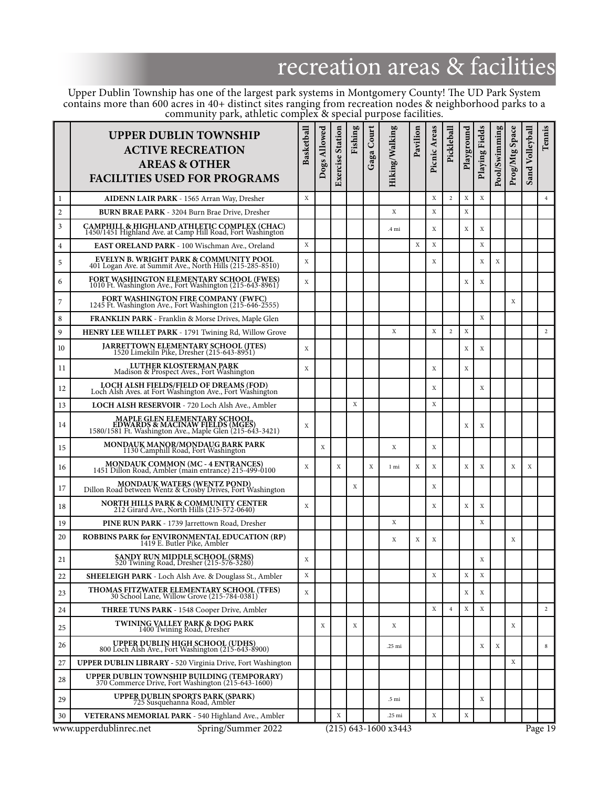# recreation areas & facilities

Upper Dublin Township has one of the largest park systems in Montgomery County! The UD Park System contains more than 600 acres in 40+ distinct sites ranging from recreation nodes & neighborhood parks to a community park, athletic complex & special purpose facilities.

|              | <b>UPPER DUBLIN TOWNSHIP</b><br><b>ACTIVE RECREATION</b><br><b>AREAS &amp; OTHER</b><br><b>FACILITIES USED FOR PROGRAMS</b>  | Basketball | Dogs Allowed | <b>Exercise Station</b> | Fishing | Gaga Court | Hiking/Walking         | Pavilion | Picnic Areas | Pickleball     | Playground | Playing Fields | Pool/Swimming | Prog/Mtg Space | Sand Volleyball | Tennis         |
|--------------|------------------------------------------------------------------------------------------------------------------------------|------------|--------------|-------------------------|---------|------------|------------------------|----------|--------------|----------------|------------|----------------|---------------|----------------|-----------------|----------------|
| 1            | AIDENN LAIR PARK - 1565 Arran Way, Dresher                                                                                   | X          |              |                         |         |            |                        |          | X            | 2              | Х          | X              |               |                |                 | $\overline{4}$ |
| $\mathbf{2}$ | <b>BURN BRAE PARK - 3204 Burn Brae Drive, Dresher</b>                                                                        |            |              |                         |         |            | X                      |          | $\mathbf X$  |                | X          |                |               |                |                 |                |
| 3            | CAMPHILL & HIGHLAND ATHLETIC COMPLEX (CHAC)<br>1450/1451 Highland Ave. at Camp Hill Road, Fort Washington                    |            |              |                         |         |            | .4 mi                  |          | X            |                | X          | X              |               |                |                 |                |
| 4            | EAST ORELAND PARK - 100 Wischman Ave., Oreland                                                                               | X          |              |                         |         |            |                        | X        | X            |                |            | Х              |               |                |                 |                |
| 5            | EVELYN B. WRIGHT PARK & COMMUNITY POOL<br>401 Logan Ave. at Summit Ave., North Hills (215-285-8510)                          | X          |              |                         |         |            |                        |          | X            |                |            | Х              | X             |                |                 |                |
| 6            | FORT WASHINGTON ELEMENTARY SCHOOL (FWES)<br>1010 Ft. Washington Ave., Fort Washington (215-643-8961)                         | X          |              |                         |         |            |                        |          |              |                | X          | X              |               |                |                 |                |
| 7            | FORT WASHINGTON FIRE COMPANY (FWFC)<br>1245 Ft. Washington Ave., Fort Washington (215-646-2555)                              |            |              |                         |         |            |                        |          |              |                |            |                |               | X              |                 |                |
| 8            | <b>FRANKLIN PARK</b> - Franklin & Morse Drives, Maple Glen                                                                   |            |              |                         |         |            |                        |          |              |                |            | X              |               |                |                 |                |
| 9            | HENRY LEE WILLET PARK - 1791 Twining Rd, Willow Grove                                                                        |            |              |                         |         |            | X                      |          | X            | 2              | X          |                |               |                |                 | 2              |
| 10           | JARRETTOWN ELEMENTARY SCHOOL (JTES)<br>1520 Limekiln Pike, Dresher (215-643-8951)                                            | X          |              |                         |         |            |                        |          |              |                | X          | X              |               |                |                 |                |
| 11           | <b>LUTHER KLOSTERMAN PARK</b><br>Madison & Prospect Aves., Fort Washington                                                   | X          |              |                         |         |            |                        |          | X            |                | X          |                |               |                |                 |                |
| 12           | LOCH ALSH FIELDS/FIELD OF DREAMS (FOD)<br>Loch Alsh Aves. at Fort Washington Ave., Fort Washington                           |            |              |                         |         |            |                        |          | X            |                |            | Х              |               |                |                 |                |
| 13           | LOCH ALSH RESERVOIR - 720 Loch Alsh Ave., Ambler                                                                             |            |              |                         | X       |            |                        |          | X            |                |            |                |               |                |                 |                |
| 14           | MAPLE GLEN ELEMENTARY SCHOOL,<br>EDWARDS & MACINAW FIELDS (MGES)<br>1580/1581 Ft. Washington Ave., Maple Glen (215-643-3421) | X          |              |                         |         |            |                        |          |              |                | X          | X              |               |                |                 |                |
| 15           | MONDAUK MANOR/MONDAUG BARK PARK<br>1130 Camphill Road, Fort Washington                                                       |            | Χ            |                         |         |            | Χ                      |          | X            |                |            |                |               |                |                 |                |
| 16           | MONDAUK COMMON (MC - 4 ENTRANCES)<br>1451 Dillon Road, Ambler (main entrance) 215-499-0100                                   | X          |              | X                       |         | X          | 1 mi                   | X        | X            |                | X          | X              |               | X              | X               |                |
| 17           | MONDAUK WATERS (WENTZ POND)<br>Dillon Road between Wentz & Crosby Drives, Fort Washington                                    |            |              |                         | X       |            |                        |          | X            |                |            |                |               |                |                 |                |
| 18           | NORTH HILLS PARK & COMMUNITY CENTER<br>212 Girard Ave., North Hills (215-572-0640)                                           | X          |              |                         |         |            |                        |          | X            |                | X          | X              |               |                |                 |                |
| 19           | PINE RUN PARK - 1739 Jarrettown Road, Dresher                                                                                |            |              |                         |         |            | X                      |          |              |                |            | X              |               |                |                 |                |
| 20           | ROBBINS PARK for ENVIRONMENTAL EDUCATION (RP)<br>1419 E. Butler Pike, Ambler                                                 |            |              |                         |         |            | Χ                      | Χ        | X            |                |            |                |               | Χ              |                 |                |
| 21           | SANDY RUN MIDDLE SCHOOL (SRMS)<br>520 Twining Road, Dresher (215-576-3280)                                                   | X          |              |                         |         |            |                        |          |              |                |            | X              |               |                |                 |                |
| 22           | <b>SHEELEIGH PARK</b> - Loch Alsh Ave. & Douglass St., Ambler                                                                | X          |              |                         |         |            |                        |          | Х            |                | Х          | X              |               |                |                 |                |
| 23           | THOMAS FITZWATER ELEMENTARY SCHOOL (TFES)<br>30 School Lane, Willow Grove (215-784-0381)                                     | X          |              |                         |         |            |                        |          |              |                | Х          | X              |               |                |                 |                |
| 24           | <b>THREE TUNS PARK - 1548 Cooper Drive, Ambler</b>                                                                           |            |              |                         |         |            |                        |          | X            | $\overline{4}$ | Х          | X              |               |                |                 | 2              |
| 25           | <b>TWINING VALLEY PARK &amp; DOG PARK</b><br>1400 Twining Road, Dresher                                                      |            | Χ            |                         | X       |            | Χ                      |          |              |                |            |                |               | X              |                 |                |
| 26           | UPPER DUBLIN HIGH SCHOOL (UDHS)<br>800 Loch Alsh Ave., Fort Washington (215-643-8900)                                        |            |              |                         |         |            | .25 mi                 |          |              |                |            | Х              | X             |                |                 | 8              |
| 27           | <b>UPPER DUBLIN LIBRARY - 520 Virginia Drive, Fort Washington</b>                                                            |            |              |                         |         |            |                        |          |              |                |            |                |               | X              |                 |                |
| 28           | <b>UPPER DUBLIN TOWNSHIP BUILDING (TEMPORARY)</b> 370 Commerce Drive, Fort Washington (215-643-1600)                         |            |              |                         |         |            |                        |          |              |                |            |                |               |                |                 |                |
| 29           | <b>UPPER DUBLIN SPORTS PARK (SPARK)</b><br>725 Susquehanna Road, Ambler                                                      |            |              |                         |         |            | .5 mi                  |          |              |                |            | X              |               |                |                 |                |
| 30           | VETERANS MEMORIAL PARK - 540 Highland Ave., Ambler                                                                           |            |              | Х                       |         |            | .25 mi                 |          | Х            |                | Х          |                |               |                |                 |                |
|              | www.upperdublinrec.net<br>Spring/Summer 2022                                                                                 |            |              |                         |         |            | $(215)$ 643-1600 x3443 |          |              |                |            |                |               |                |                 | Page 19        |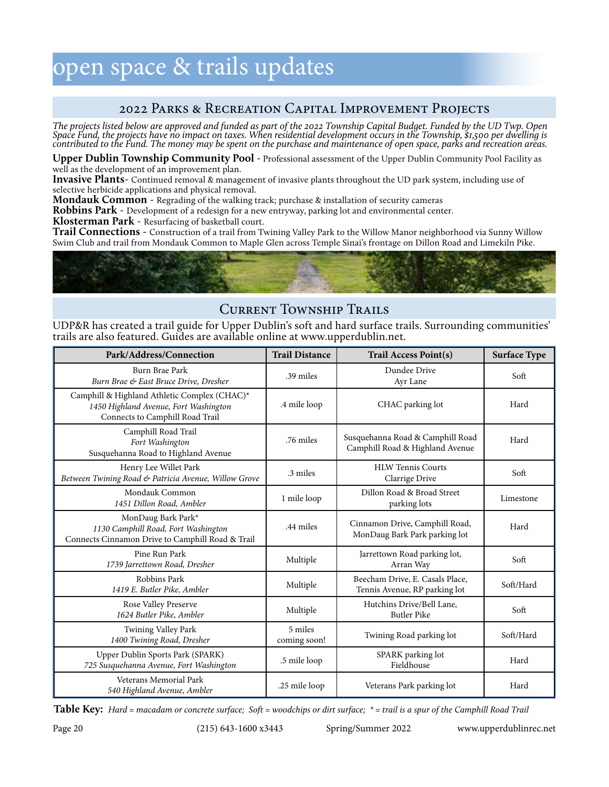## open space & trails updates

### 2022 Parks & Recreation Capital Improvement Projects

*The projects listed below are approved and funded as part of the 2022 Township Capital Budget. Funded by the UD Twp. Open Space Fund, the projects have no impact on taxes. When residential development occurs in the Township, \$1,500 per dwelling is contributed to the Fund. The money may be spent on the purchase and maintenance of open space, parks and recreation areas.* 

**Upper Dublin Township Community Pool** - Professional assessment of the Upper Dublin Community Pool Facility as well as the development of an improvement plan.

**Invasive Plants**- Continued removal & management of invasive plants throughout the UD park system, including use of selective herbicide applications and physical removal.

**Mondauk Common** - Regrading of the walking track; purchase & installation of security cameras

**Robbins Park** - Development of a redesign for a new entryway, parking lot and environmental center.

**Klosterman Park** - Resurfacing of basketball court.

**Trail Connections** - Construction of a trail from Twining Valley Park to the Willow Manor neighborhood via Sunny Willow Swim Club and trail from Mondauk Common to Maple Glen across Temple Sinai's frontage on Dillon Road and Limekiln Pike.



## Current Township Trails

UDP&R has created a trail guide for Upper Dublin's soft and hard surface trails. Surrounding communities' trails are also featured. Guides are available online at www.upperdublin.net.

| Park/Address/Connection                                                                                                  | <b>Trail Distance</b>   | <b>Trail Access Point(s)</b>                                        | <b>Surface Type</b> |  |
|--------------------------------------------------------------------------------------------------------------------------|-------------------------|---------------------------------------------------------------------|---------------------|--|
| Burn Brae Park<br>Burn Brae & East Bruce Drive, Dresher                                                                  | .39 miles               | Dundee Drive<br>Ayr Lane                                            | Soft                |  |
| Camphill & Highland Athletic Complex (CHAC)*<br>1450 Highland Avenue, Fort Washington<br>Connects to Camphill Road Trail | .4 mile loop            | CHAC parking lot                                                    | Hard                |  |
| Camphill Road Trail<br>Fort Washington<br>Susquehanna Road to Highland Avenue                                            | .76 miles               | Susquehanna Road & Camphill Road<br>Camphill Road & Highland Avenue | Hard                |  |
| Henry Lee Willet Park<br>Between Twining Road & Patricia Avenue, Willow Grove                                            | .3 miles                | <b>HLW Tennis Courts</b><br>Clarrige Drive                          | Soft                |  |
| Mondauk Common<br>1451 Dillon Road, Ambler                                                                               | 1 mile loop             | Dillon Road & Broad Street<br>parking lots                          | Limestone           |  |
| MonDaug Bark Park*<br>1130 Camphill Road, Fort Washington<br>Connects Cinnamon Drive to Camphill Road & Trail            | .44 miles               | Cinnamon Drive, Camphill Road,<br>MonDaug Bark Park parking lot     | Hard                |  |
| Pine Run Park<br>1739 Jarrettown Road, Dresher                                                                           | Multiple                | Jarrettown Road parking lot,<br>Arran Way                           | Soft                |  |
| Robbins Park<br>1419 E. Butler Pike, Ambler                                                                              | Multiple                | Beecham Drive, E. Casals Place,<br>Tennis Avenue, RP parking lot    | Soft/Hard           |  |
| Rose Valley Preserve<br>1624 Butler Pike, Ambler                                                                         | Multiple                | Hutchins Drive/Bell Lane,<br><b>Butler Pike</b>                     | Soft                |  |
| Twining Valley Park<br>1400 Twining Road, Dresher                                                                        | 5 miles<br>coming soon! | Twining Road parking lot                                            | Soft/Hard           |  |
| Upper Dublin Sports Park (SPARK)<br>725 Susquehanna Avenue, Fort Washington                                              | .5 mile loop            | SPARK parking lot<br>Fieldhouse                                     | Hard                |  |
| Veterans Memorial Park<br>540 Highland Avenue, Ambler                                                                    | .25 mile loop           | Veterans Park parking lot                                           | Hard                |  |

**Table Key:** *Hard = macadam or concrete surface; Soft = woodchips or dirt surface; \* = trail is a spur of the Camphill Road Trail*

Page 20 (215) 643-1600 x3443 Spring/Summer 2022 www.upperdublinrec.net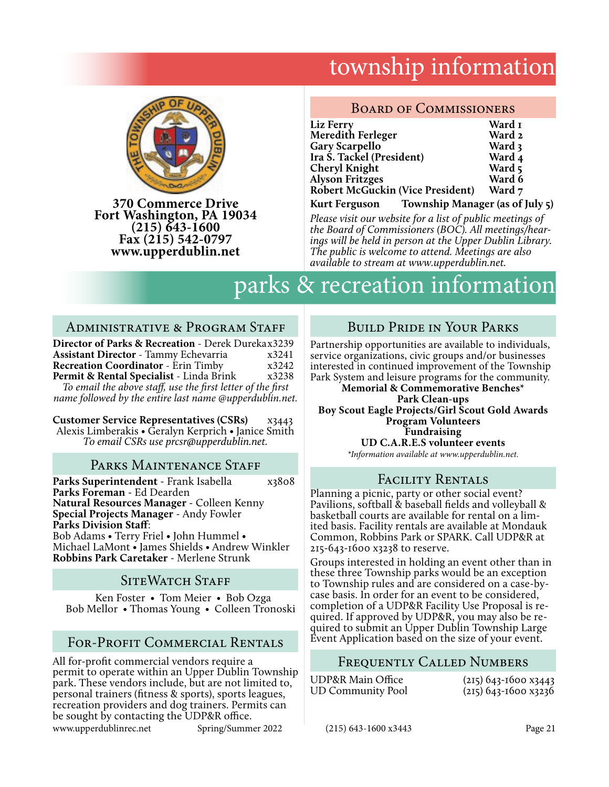## township information



**370 Commerce Drive Fort Washington, PA 19034 (215) 643-1600 Fax (215) 542-0797 www.upperdublin.net**

#### BOARD OF COMMISSIONERS

| Liz Ferry                                                               | Ward I |
|-------------------------------------------------------------------------|--------|
| Meredith Ferleger                                                       | Ward 2 |
| <b>Gary Scarpello</b>                                                   | Ward 3 |
| Ira S. Tackel (President)                                               | Ward 4 |
| Cheryl Knight                                                           | Ward 5 |
| <b>Alyson Fritzges</b>                                                  | Ward 6 |
| <b>Robert McGuckin (Vice President)</b>                                 | Ward 7 |
| лг. 1. м. <i>н. 1. с</i> т. 1<br>$\mathbf{r}$ $\mathbf{r}$ $\mathbf{r}$ |        |

**Kurt Ferguson Township Manager (as of July 5)**

*Please visit our website for a list of public meetings of the Board of Commissioners (BOC). All meetings/hear- ings will be held in person at the Upper Dublin Library. The public is welcome to attend. Meetings are also available to stream at www.upperdublin.net.*

## parks & recreation information

#### ADMINISTRATIVE & PROGRAM STAFF

**Director of Parks & Recreation** - Derek Durekax3239 **Assistant Director** - Tammy Echevarria  $x3241$ <br>**Recreation Coordinator** - Erin Timby  $x3242$ **Recreation Coordinator** - Erin Timby x3242<br>**Permit & Rental Specialist** - Linda Brink x3238 Permit & Rental Specialist - Linda Brink

*To email the above staff, use the first letter of the first name followed by the entire last name @upperdublin.net.*

**Customer Service Representatives (CSRs)** x3443 Alexis Limberakis • Geralyn Kerprich • Janice Smith *To email CSRs use prcsr@upperdublin.net.* 

#### PARKS MAINTENANCE STAFF

**Parks Superintendent** - Frank Isabella x3808 **Parks Foreman** - Ed Dearden **Natural Resources Manager** - Colleen Kenny **Special Projects Manager** - Andy Fowler **Parks Division Staff**: Bob Adams • Terry Friel • John Hummel • Michael LaMont • James Shields • Andrew Winkler **Robbins Park Caretaker** - Merlene Strunk

### SITEWATCH STAFF

 Ken Foster • Tom Meier • Bob Ozga Bob Mellor • Thomas Young • Colleen Tronoski

## FOR-PROFIT COMMERCIAL RENTALS Event Application based on the size of your event.

www.upperdublinrec.net Spring/Summer 2022 (215) 643-1600 x3443 Page 21 All for-profit commercial vendors require a permit to operate within an Upper Dublin Township park. These vendors include, but are not limited to, personal trainers (fitness & sports), sports leagues, recreation providers and dog trainers. Permits can be sought by contacting the UDP&R office.

## Build Pride in Your Parks

Partnership opportunities are available to individuals, service organizations, civic groups and/or businesses interested in continued improvement of the Township Park System and leisure programs for the community.

**Memorial & Commemorative Benches\* Park Clean-ups Boy Scout Eagle Projects/Girl Scout Gold Awards Program Volunteers Fundraising UD C.A.R.E.S volunteer events**

*\*Information available at www.upperdublin.net.*

### Facility Rentals

Planning a picnic, party or other social event? Pavilions, softball & baseball fields and volleyball & basketball courts are available for rental on a limited basis. Facility rentals are available at Mondauk Common, Robbins Park or SPARK. Call UDP&R at 215-643-1600 x3238 to reserve.

Groups interested in holding an event other than in these three Township parks would be an exception to Township rules and are considered on a case-bycase basis. In order for an event to be considered, quired. If approved by UDP&R, you may also be required to submit an Upper Dublin Township Large

### Frequently Called Numbers

| UDP&R Main Office | $(215)$ 643-1600 x3443 |
|-------------------|------------------------|
| UD Community Pool | $(215)$ 643-1600 x3236 |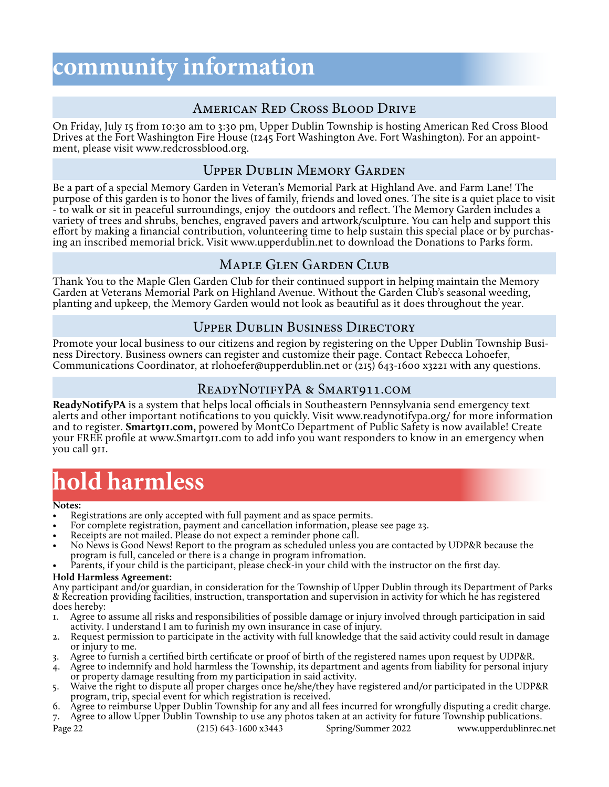## **community information**

## American Red Cross Blood Drive

On Friday, July 15 from 10:30 am to 3:30 pm, Upper Dublin Township is hosting American Red Cross Blood Drives at the Fort Washington Fire House (1245 Fort Washington Ave. Fort Washington). For an appoint- ment, please visit www.redcrossblood.org.

## Upper Dublin Memory Garden

Be a part of a special Memory Garden in Veteran's Memorial Park at Highland Ave. and Farm Lane! The purpose of this garden is to honor the lives of family, friends and loved ones. The site is a quiet place to visit - to walk or sit in peaceful surroundings, enjoy the outdoors and reflect. The Memory Garden includes a variety of trees and shrubs, benches, engraved pavers and artwork/sculpture. You can help and support this effort by making a financial contribution, volunteering time to help sustain this special place or by purchasing an inscribed memorial brick. Visit www.upperdublin.net to download the Donations to Parks form.

### Maple Glen Garden Club

Thank You to the Maple Glen Garden Club for their continued support in helping maintain the Memory Garden at Veterans Memorial Park on Highland Avenue. Without the Garden Club's seasonal weeding, planting and upkeep, the Memory Garden would not look as beautiful as it does throughout the year.

## Upper Dublin Business Directory

Promote your local business to our citizens and region by registering on the Upper Dublin Township Business Directory. Business owners can register and customize their page. Contact Rebecca Lohoefer, Communications Coordinator, at rlohoefer@upperdublin.net or  $(215)$  643-1600 x3221 with any questions.

## READYNOTIFYPA & SMART911.COM

**ReadyNotifyPA** is a system that helps local officials in Southeastern Pennsylvania send emergency text alerts and other important notifications to you quickly. Visit www.readynotifypa.org/ for more information and to register. **Smart911.com,** powered by MontCo Department of Public Safety is now available! Create your FREE profile at www.Smart911.com to add info you want responders to know in an emergency when you call 911.

## **hold harmless**

#### **Notes:**

- Registrations are only accepted with full payment and as space permits.
- For complete registration, payment and cancellation information, please see page 23.
- Receipts are not mailed. Please do not expect a reminder phone call.
- No News is Good News! Report to the program as scheduled unless you are contacted by UDP&R because the program is full, canceled or there is a change in program infromation.
- Parents, if your child is the participant, please check-in your child with the instructor on the first day.

#### **Hold Harmless Agreement:**

Any participant and/or guardian, in consideration for the Township of Upper Dublin through its Department of Parks & Recreation providing facilities, instruction, transportation and supervision in activity for which he has registered does hereby:

- 1. Agree to assume all risks and responsibilities of possible damage or injury involved through participation in said activity. I understand I am to furinish my own insurance in case of injury.
- 2. Request permission to participate in the activity with full knowledge that the said activity could result in damage or injury to me.
- 3. Agree to furnish a certified birth certificate or proof of birth of the registered names upon request by UDP&R.
- 4. Agree to indemnify and hold harmless the Township, its department and agents from liability for personal injury or property damage resulting from my participation in said activity.
- 5. Waive the right to dispute all proper charges once he/she/they have registered and/or participated in the UDP&R program, trip, special event for which registration is received.
- 6. Agree to reimburse Upper Dublin Township for any and all fees incurred for wrongfully disputing a credit charge.
- 7. Agree to allow Upper Dublin Township to use any photos taken at an activity for future Township publications.

Page 22 (215) 643-1600 x3443 Spring/Summer 2022 www.upperdublinrec.net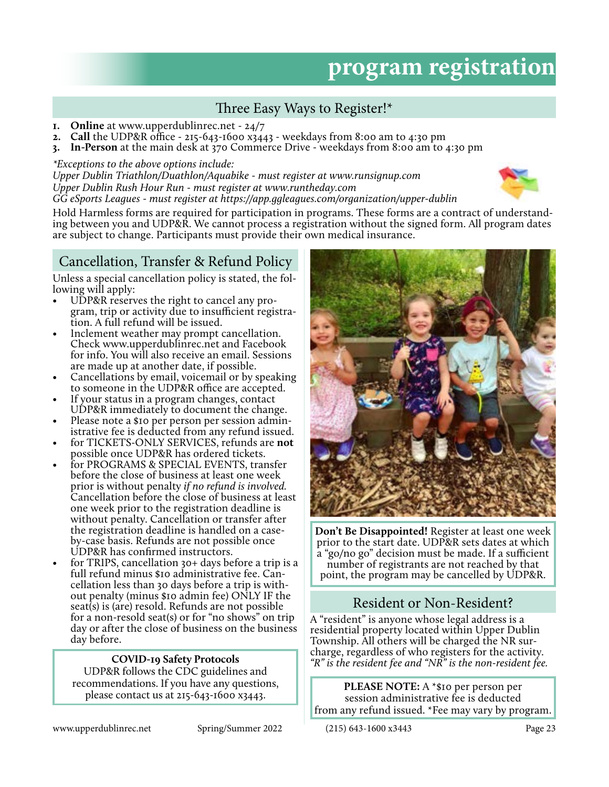## **program registration**

## Three Easy Ways to Register!\*

- **1. Online** at www.upperdublinrec.net 24/7
- **2. Call** the UDP&R office 215-643-1600 x3443 weekdays from 8:00 am to 4:30 pm
- **3. In-Person** at the main desk at 370 Commerce Drive weekdays from 8:00 am to 4:30 pm

#### *\*Exceptions to the above options include:*

*Upper Dublin Triathlon/Duathlon/Aquabike - must register at www.runsignup.com Upper Dublin Rush Hour Run - must register at www.runtheday.com GG eSports Leagues - must register at https://app.ggleagues.com/organization/upper-dublin*



Hold Harmless forms are required for participation in programs. These forms are a contract of understanding between you and UDP&R. We cannot process a registration without the signed form. All program dates are subject to change. Participants must provide their own medical insurance.

## Cancellation, Transfer & Refund Policy

Unless a special cancellation policy is stated, the following will apply:

- UDP&R reserves the right to cancel any program, trip or activity due to insufficient registration. A full refund will be issued.
- Inclement weather may prompt cancellation. Check www.upperdublinrec.net and Facebook for info. You will also receive an email. Sessions are made up at another date, if possible.
- Cancellations by email, voicemail or by speaking to someone in the UDP&R office are accepted.
- If your status in a program changes, contact UDP&R immediately to document the change.
- Please note a \$10 per person per session administrative fee is deducted from any refund issued.
- for TICKETS-ONLY SERVICES, refunds are **not** possible once UDP&R has ordered tickets. • for PROGRAMS & SPECIAL EVENTS, transfer
- before the close of business at least one week prior is without penalty *if no refund is involved.*  Cancellation before the close of business at least one week prior to the registration deadline is without penalty. Cancellation or transfer after the registration deadline is handled on a caseby-case basis. Refunds are not possible once UDP&R has confirmed instructors.
- for TRIPS, cancellation 30+ days before a trip is a full refund minus \$10 administrative fee. Cancellation less than 30 days before a trip is without penalty (minus \$10 admin fee) ONLY IF the seat(s) is (are) resold. Refunds are not possible for a non-resold seat(s) or for "no shows" on trip day or after the close of business on the business day before.

#### **COVID-19 Safety Protocols**

UDP&R follows the CDC guidelines and recommendations. If you have any questions, please contact us at 215-643-1600 x3443.



**Don't Be Disappointed!** Register at least one week prior to the start date. UDP&R sets dates at which a "go/no go" decision must be made. If a sufficient number of registrants are not reached by that point, the program may be cancelled by UDP&R.

## Resident or Non-Resident?

A "resident" is anyone whose legal address is a residential property located within Upper Dublin Township. All others will be charged the NR surcharge, regardless of who registers for the activity. *"R" is the resident fee and "NR" is the non-resident fee.*

**PLEASE NOTE:** A \*\$10 per person per session administrative fee is deducted from any refund issued. \*Fee may vary by program.

www.upperdublinrec.net Spring/Summer 2022 (215) 643-1600 x3443 Page 23